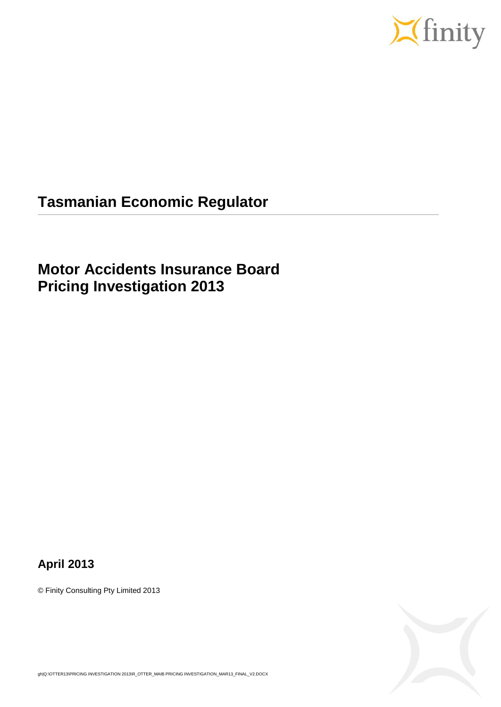

# **Tasmanian Economic Regulator**

# **Motor Accidents Insurance Board Pricing Investigation 2013**

### **April 2013**

© Finity Consulting Pty Limited 2013



gh|Q:\OTTER13\PRICING INVESTIGATION 2013\R\_OTTER\_MAIB PRICING INVESTIGATION\_MAR13\_FINAL\_V2.DOCX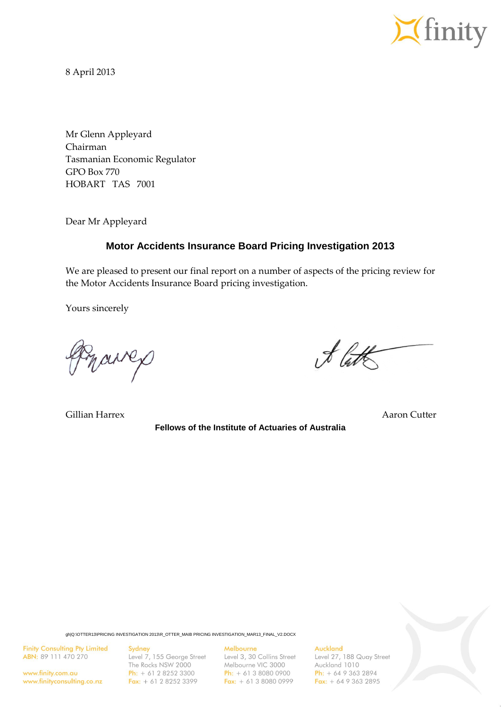

8 April 2013

Mr Glenn Appleyard Chairman Tasmanian Economic Regulator GPO Box 770 HOBART TAS 7001

Dear Mr Appleyard

#### **Motor Accidents Insurance Board Pricing Investigation 2013**

We are pleased to present our final report on a number of aspects of the pricing review for the Motor Accidents Insurance Board pricing investigation.

Yours sincerely

marres

Gillian Harrex **Aaron Cutter** Aaron Cutter Aaron Cutter Aaron Cutter

**Fellows of the Institute of Actuaries of Australia**

& late

gh|Q:\OTTER13\PRICING INVESTIGATION 2013\R\_OTTER\_MAIB PRICING INVESTIGATION\_MAR13\_FINAL\_V2.DOCX

**Finity Consulting Pty Limited** ABN: 89 111 470 270

www.finity.com.au www.finityconsulting.co.nz Sydney

Level 7, 155 George Street The Rocks NSW 2000 Ph:  $+ 61 2 8252 3300$ Fax:  $+ 61 2 8252 3399$ 

#### Melbourne

Level 3, 30 Collins Street Melbourne VIC 3000 **Ph:**  $+ 61 3 8080 0900$ Fax:  $+ 61380800999$ 

Auckland

Level 27, 188 Quay Street Auckland 1010  $Ph: + 6493632894$ Fax:  $+ 6493632895$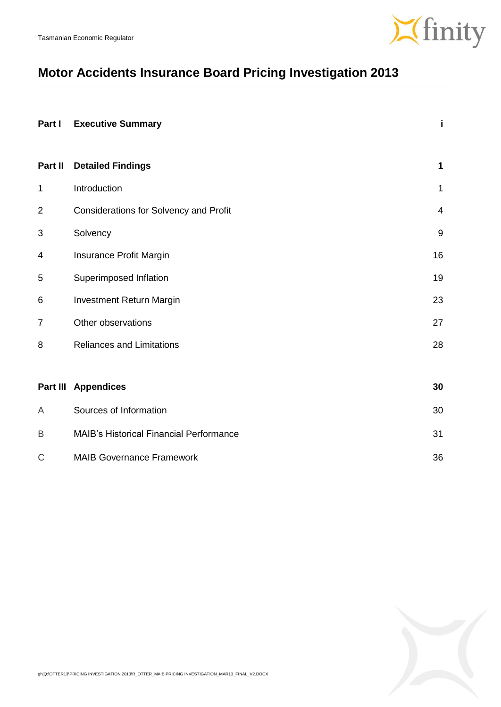

# **Motor Accidents Insurance Board Pricing Investigation 2013**

| Part I         | <b>Executive Summary</b>                       | i              |
|----------------|------------------------------------------------|----------------|
| Part II        | <b>Detailed Findings</b>                       | 1              |
| 1              | Introduction                                   | 1              |
| $\overline{2}$ | <b>Considerations for Solvency and Profit</b>  | $\overline{4}$ |
| 3              | Solvency                                       | 9              |
| 4              | Insurance Profit Margin                        | 16             |
| 5              | Superimposed Inflation                         | 19             |
| 6              | Investment Return Margin                       | 23             |
| $\overline{7}$ | Other observations                             | 27             |
| 8              | <b>Reliances and Limitations</b>               |                |
|                |                                                |                |
|                | <b>Part III Appendices</b>                     | 30             |
| A              | Sources of Information                         | 30             |
| B              | <b>MAIB's Historical Financial Performance</b> | 31             |
| $\mathsf C$    | <b>MAIB Governance Framework</b>               | 36             |

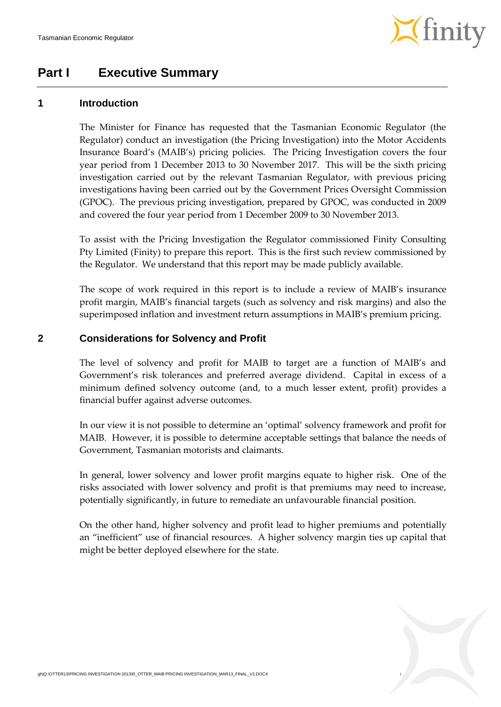

### **Part I Executive Summary**

#### **1 Introduction**

The Minister for Finance has requested that the Tasmanian Economic Regulator (the Regulator) conduct an investigation (the Pricing Investigation) into the Motor Accidents Insurance Board's (MAIB's) pricing policies. The Pricing Investigation covers the four year period from 1 December 2013 to 30 November 2017. This will be the sixth pricing investigation carried out by the relevant Tasmanian Regulator, with previous pricing investigations having been carried out by the Government Prices Oversight Commission (GPOC). The previous pricing investigation, prepared by GPOC, was conducted in 2009 and covered the four year period from 1 December 2009 to 30 November 2013.

To assist with the Pricing Investigation the Regulator commissioned Finity Consulting Pty Limited (Finity) to prepare this report. This is the first such review commissioned by the Regulator. We understand that this report may be made publicly available.

The scope of work required in this report is to include a review of MAIB's insurance profit margin, MAIB's financial targets (such as solvency and risk margins) and also the superimposed inflation and investment return assumptions in MAIB's premium pricing.

#### **2 Considerations for Solvency and Profit**

The level of solvency and profit for MAIB to target are a function of MAIB's and Government's risk tolerances and preferred average dividend. Capital in excess of a minimum defined solvency outcome (and, to a much lesser extent, profit) provides a financial buffer against adverse outcomes.

In our view it is not possible to determine an 'optimal' solvency framework and profit for MAIB. However, it is possible to determine acceptable settings that balance the needs of Government, Tasmanian motorists and claimants.

In general, lower solvency and lower profit margins equate to higher risk. One of the risks associated with lower solvency and profit is that premiums may need to increase, potentially significantly, in future to remediate an unfavourable financial position.

On the other hand, higher solvency and profit lead to higher premiums and potentially an "inefficient" use of financial resources. A higher solvency margin ties up capital that might be better deployed elsewhere for the state.

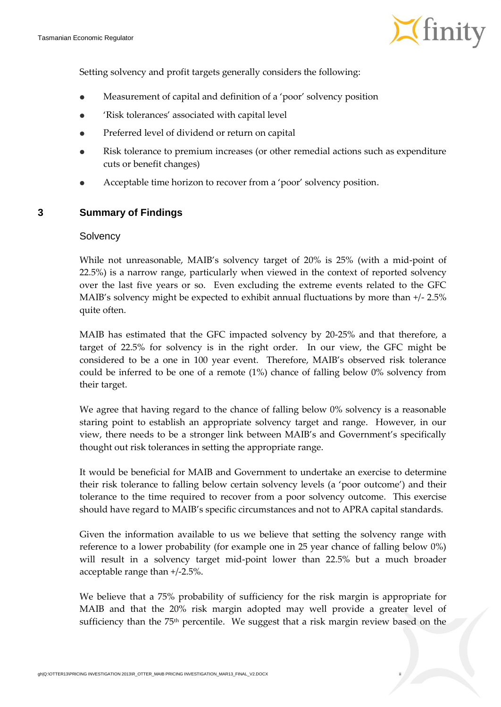

Setting solvency and profit targets generally considers the following:

- Measurement of capital and definition of a 'poor' solvency position
- 'Risk tolerances' associated with capital level
- Preferred level of dividend or return on capital
- Risk tolerance to premium increases (or other remedial actions such as expenditure cuts or benefit changes)
- Acceptable time horizon to recover from a 'poor' solvency position.

#### **3 Summary of Findings**

#### **Solvency**

While not unreasonable, MAIB's solvency target of 20% is 25% (with a mid-point of 22.5%) is a narrow range, particularly when viewed in the context of reported solvency over the last five years or so. Even excluding the extreme events related to the GFC MAIB's solvency might be expected to exhibit annual fluctuations by more than +/- 2.5% quite often.

MAIB has estimated that the GFC impacted solvency by 20-25% and that therefore, a target of 22.5% for solvency is in the right order. In our view, the GFC might be considered to be a one in 100 year event. Therefore, MAIB's observed risk tolerance could be inferred to be one of a remote (1%) chance of falling below 0% solvency from their target.

We agree that having regard to the chance of falling below 0% solvency is a reasonable staring point to establish an appropriate solvency target and range. However, in our view, there needs to be a stronger link between MAIB's and Government's specifically thought out risk tolerances in setting the appropriate range.

It would be beneficial for MAIB and Government to undertake an exercise to determine their risk tolerance to falling below certain solvency levels (a 'poor outcome') and their tolerance to the time required to recover from a poor solvency outcome. This exercise should have regard to MAIB's specific circumstances and not to APRA capital standards.

Given the information available to us we believe that setting the solvency range with reference to a lower probability (for example one in 25 year chance of falling below 0%) will result in a solvency target mid-point lower than 22.5% but a much broader acceptable range than +/-2.5%.

We believe that a 75% probability of sufficiency for the risk margin is appropriate for MAIB and that the 20% risk margin adopted may well provide a greater level of sufficiency than the 75<sup>th</sup> percentile. We suggest that a risk margin review based on the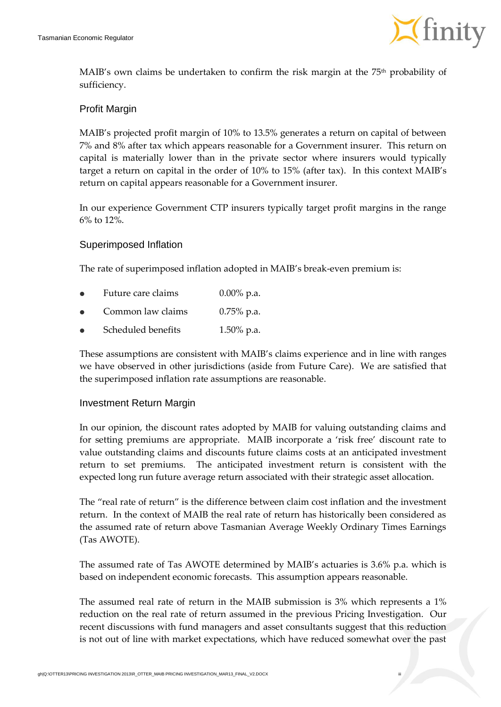

MAIB's own claims be undertaken to confirm the risk margin at the  $75<sup>th</sup>$  probability of sufficiency.

#### Profit Margin

MAIB's projected profit margin of 10% to 13.5% generates a return on capital of between 7% and 8% after tax which appears reasonable for a Government insurer. This return on capital is materially lower than in the private sector where insurers would typically target a return on capital in the order of 10% to 15% (after tax). In this context MAIB's return on capital appears reasonable for a Government insurer.

In our experience Government CTP insurers typically target profit margins in the range 6% to 12%.

#### Superimposed Inflation

The rate of superimposed inflation adopted in MAIB's break-even premium is:

- Future care claims 0.00% p.a.
- Common law claims 0.75% p.a.
- Scheduled benefits 1.50% p.a.

These assumptions are consistent with MAIB's claims experience and in line with ranges we have observed in other jurisdictions (aside from Future Care). We are satisfied that the superimposed inflation rate assumptions are reasonable.

#### Investment Return Margin

In our opinion, the discount rates adopted by MAIB for valuing outstanding claims and for setting premiums are appropriate. MAIB incorporate a 'risk free' discount rate to value outstanding claims and discounts future claims costs at an anticipated investment return to set premiums. The anticipated investment return is consistent with the expected long run future average return associated with their strategic asset allocation.

The "real rate of return" is the difference between claim cost inflation and the investment return. In the context of MAIB the real rate of return has historically been considered as the assumed rate of return above Tasmanian Average Weekly Ordinary Times Earnings (Tas AWOTE).

The assumed rate of Tas AWOTE determined by MAIB's actuaries is 3.6% p.a. which is based on independent economic forecasts. This assumption appears reasonable.

The assumed real rate of return in the MAIB submission is 3% which represents a 1% reduction on the real rate of return assumed in the previous Pricing Investigation. Our recent discussions with fund managers and asset consultants suggest that this reduction is not out of line with market expectations, which have reduced somewhat over the past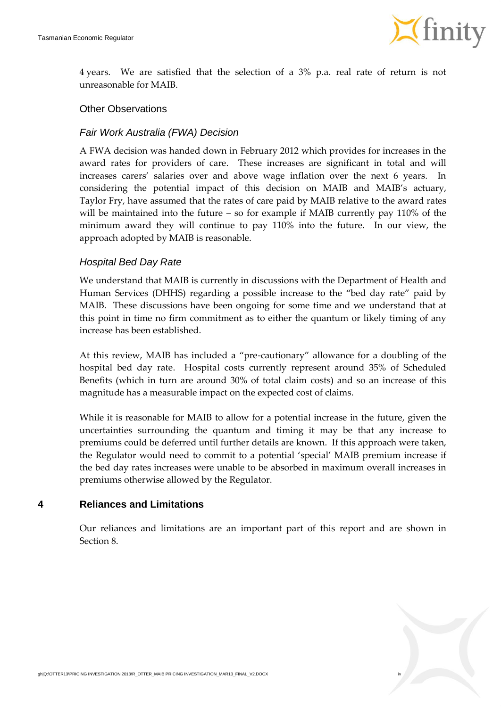

4 years. We are satisfied that the selection of a 3% p.a. real rate of return is not unreasonable for MAIB.

#### Other Observations

#### *Fair Work Australia (FWA) Decision*

A FWA decision was handed down in February 2012 which provides for increases in the award rates for providers of care. These increases are significant in total and will increases carers' salaries over and above wage inflation over the next 6 years. In considering the potential impact of this decision on MAIB and MAIB's actuary, Taylor Fry, have assumed that the rates of care paid by MAIB relative to the award rates will be maintained into the future – so for example if MAIB currently pay 110% of the minimum award they will continue to pay 110% into the future. In our view, the approach adopted by MAIB is reasonable.

#### *Hospital Bed Day Rate*

We understand that MAIB is currently in discussions with the Department of Health and Human Services (DHHS) regarding a possible increase to the "bed day rate" paid by MAIB. These discussions have been ongoing for some time and we understand that at this point in time no firm commitment as to either the quantum or likely timing of any increase has been established.

At this review, MAIB has included a "pre-cautionary" allowance for a doubling of the hospital bed day rate. Hospital costs currently represent around 35% of Scheduled Benefits (which in turn are around 30% of total claim costs) and so an increase of this magnitude has a measurable impact on the expected cost of claims.

While it is reasonable for MAIB to allow for a potential increase in the future, given the uncertainties surrounding the quantum and timing it may be that any increase to premiums could be deferred until further details are known. If this approach were taken, the Regulator would need to commit to a potential 'special' MAIB premium increase if the bed day rates increases were unable to be absorbed in maximum overall increases in premiums otherwise allowed by the Regulator.

#### **4 Reliances and Limitations**

Our reliances and limitations are an important part of this report and are shown in Section [8.](#page-34-0)

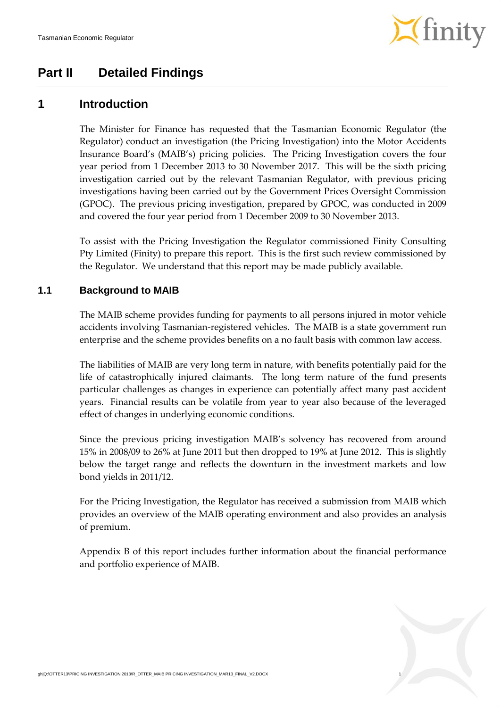

### **Part II Detailed Findings**

### **1 Introduction**

The Minister for Finance has requested that the Tasmanian Economic Regulator (the Regulator) conduct an investigation (the Pricing Investigation) into the Motor Accidents Insurance Board's (MAIB's) pricing policies. The Pricing Investigation covers the four year period from 1 December 2013 to 30 November 2017. This will be the sixth pricing investigation carried out by the relevant Tasmanian Regulator, with previous pricing investigations having been carried out by the Government Prices Oversight Commission (GPOC). The previous pricing investigation, prepared by GPOC, was conducted in 2009 and covered the four year period from 1 December 2009 to 30 November 2013.

To assist with the Pricing Investigation the Regulator commissioned Finity Consulting Pty Limited (Finity) to prepare this report. This is the first such review commissioned by the Regulator. We understand that this report may be made publicly available.

#### **1.1 Background to MAIB**

The MAIB scheme provides funding for payments to all persons injured in motor vehicle accidents involving Tasmanian-registered vehicles. The MAIB is a state government run enterprise and the scheme provides benefits on a no fault basis with common law access.

The liabilities of MAIB are very long term in nature, with benefits potentially paid for the life of catastrophically injured claimants. The long term nature of the fund presents particular challenges as changes in experience can potentially affect many past accident years. Financial results can be volatile from year to year also because of the leveraged effect of changes in underlying economic conditions.

Since the previous pricing investigation MAIB's solvency has recovered from around 15% in 2008/09 to 26% at June 2011 but then dropped to 19% at June 2012. This is slightly below the target range and reflects the downturn in the investment markets and low bond yields in 2011/12.

For the Pricing Investigation, the Regulator has received a submission from MAIB which provides an overview of the MAIB operating environment and also provides an analysis of premium.

Appendix [B](#page-37-0) of this report includes further information about the financial performance and portfolio experience of MAIB.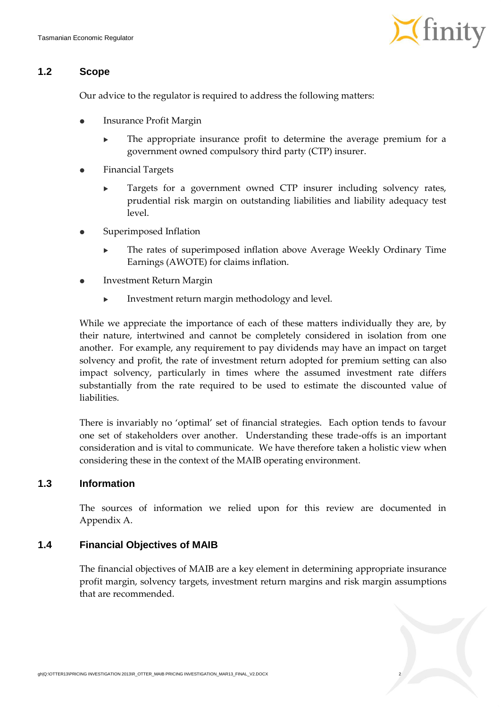

#### **1.2 Scope**

Our advice to the regulator is required to address the following matters:

- Insurance Profit Margin
	- The appropriate insurance profit to determine the average premium for a government owned compulsory third party (CTP) insurer.
- Financial Targets
	- **Targets for a government owned CTP insurer including solvency rates,** prudential risk margin on outstanding liabilities and liability adequacy test level.
- Superimposed Inflation
	- The rates of superimposed inflation above Average Weekly Ordinary Time Earnings (AWOTE) for claims inflation.
- Investment Return Margin
	- Investment return margin methodology and level.

While we appreciate the importance of each of these matters individually they are, by their nature, intertwined and cannot be completely considered in isolation from one another. For example, any requirement to pay dividends may have an impact on target solvency and profit, the rate of investment return adopted for premium setting can also impact solvency, particularly in times where the assumed investment rate differs substantially from the rate required to be used to estimate the discounted value of liabilities.

There is invariably no 'optimal' set of financial strategies. Each option tends to favour one set of stakeholders over another. Understanding these trade-offs is an important consideration and is vital to communicate. We have therefore taken a holistic view when considering these in the context of the MAIB operating environment.

#### **1.3 Information**

The sources of information we relied upon for this review are documented in Appendix [A.](#page-36-0)

#### **1.4 Financial Objectives of MAIB**

The financial objectives of MAIB are a key element in determining appropriate insurance profit margin, solvency targets, investment return margins and risk margin assumptions that are recommended.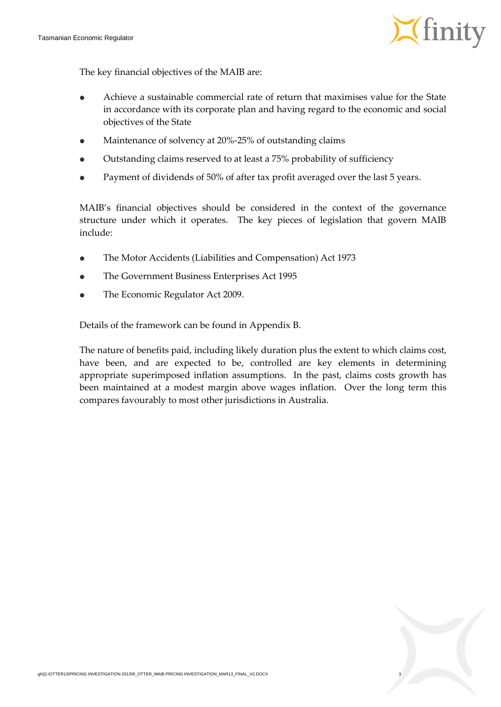

The key financial objectives of the MAIB are:

- Achieve a sustainable commercial rate of return that maximises value for the State in accordance with its corporate plan and having regard to the economic and social objectives of the State
- Maintenance of solvency at 20%-25% of outstanding claims
- Outstanding claims reserved to at least a 75% probability of sufficiency
- Payment of dividends of 50% of after tax profit averaged over the last 5 years.

MAIB's financial objectives should be considered in the context of the governance structure under which it operates. The key pieces of legislation that govern MAIB include:

- The Motor Accidents (Liabilities and Compensation) Act 1973
- The Government Business Enterprises Act 1995
- The Economic Regulator Act 2009.

Details of the framework can be found in Appendix [B.](#page-37-0)

The nature of benefits paid, including likely duration plus the extent to which claims cost, have been, and are expected to be, controlled are key elements in determining appropriate superimposed inflation assumptions. In the past, claims costs growth has been maintained at a modest margin above wages inflation. Over the long term this compares favourably to most other jurisdictions in Australia.

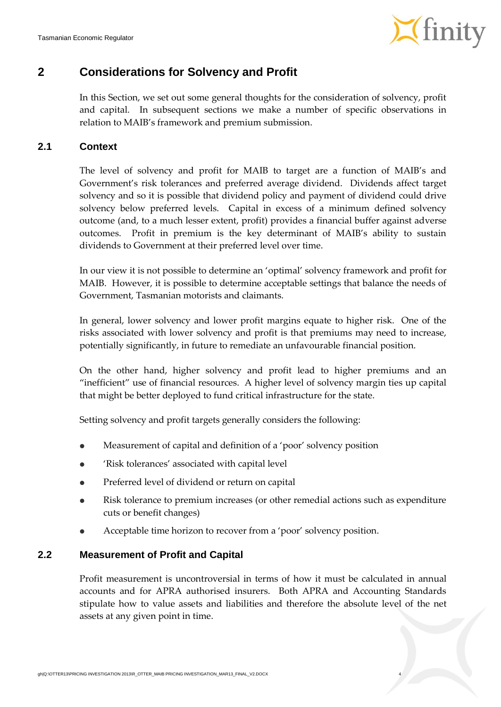

### <span id="page-10-1"></span>**2 Considerations for Solvency and Profit**

In this Section, we set out some general thoughts for the consideration of solvency, profit and capital. In subsequent sections we make a number of specific observations in relation to MAIB's framework and premium submission.

#### **2.1 Context**

The level of solvency and profit for MAIB to target are a function of MAIB's and Government's risk tolerances and preferred average dividend. Dividends affect target solvency and so it is possible that dividend policy and payment of dividend could drive solvency below preferred levels. Capital in excess of a minimum defined solvency outcome (and, to a much lesser extent, profit) provides a financial buffer against adverse outcomes. Profit in premium is the key determinant of MAIB's ability to sustain dividends to Government at their preferred level over time.

In our view it is not possible to determine an 'optimal' solvency framework and profit for MAIB. However, it is possible to determine acceptable settings that balance the needs of Government, Tasmanian motorists and claimants.

In general, lower solvency and lower profit margins equate to higher risk. One of the risks associated with lower solvency and profit is that premiums may need to increase, potentially significantly, in future to remediate an unfavourable financial position.

On the other hand, higher solvency and profit lead to higher premiums and an "inefficient" use of financial resources. A higher level of solvency margin ties up capital that might be better deployed to fund critical infrastructure for the state.

Setting solvency and profit targets generally considers the following:

- Measurement of capital and definition of a 'poor' solvency position
- 'Risk tolerances' associated with capital level
- Preferred level of dividend or return on capital
- Risk tolerance to premium increases (or other remedial actions such as expenditure cuts or benefit changes)
- Acceptable time horizon to recover from a 'poor' solvency position.

#### <span id="page-10-0"></span>**2.2 Measurement of Profit and Capital**

Profit measurement is uncontroversial in terms of how it must be calculated in annual accounts and for APRA authorised insurers. Both APRA and Accounting Standards stipulate how to value assets and liabilities and therefore the absolute level of the net assets at any given point in time.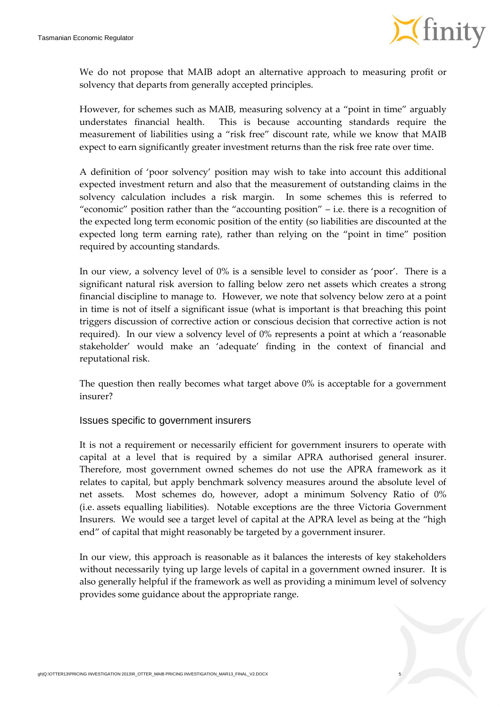

We do not propose that MAIB adopt an alternative approach to measuring profit or solvency that departs from generally accepted principles.

However, for schemes such as MAIB, measuring solvency at a "point in time" arguably understates financial health. This is because accounting standards require the measurement of liabilities using a "risk free" discount rate, while we know that MAIB expect to earn significantly greater investment returns than the risk free rate over time.

A definition of 'poor solvency' position may wish to take into account this additional expected investment return and also that the measurement of outstanding claims in the solvency calculation includes a risk margin. In some schemes this is referred to "economic" position rather than the "accounting position" – i.e. there is a recognition of the expected long term economic position of the entity (so liabilities are discounted at the expected long term earning rate), rather than relying on the "point in time" position required by accounting standards.

In our view, a solvency level of 0% is a sensible level to consider as 'poor'. There is a significant natural risk aversion to falling below zero net assets which creates a strong financial discipline to manage to. However, we note that solvency below zero at a point in time is not of itself a significant issue (what is important is that breaching this point triggers discussion of corrective action or conscious decision that corrective action is not required). In our view a solvency level of 0% represents a point at which a 'reasonable stakeholder' would make an 'adequate' finding in the context of financial and reputational risk.

The question then really becomes what target above 0% is acceptable for a government insurer?

#### Issues specific to government insurers

It is not a requirement or necessarily efficient for government insurers to operate with capital at a level that is required by a similar APRA authorised general insurer. Therefore, most government owned schemes do not use the APRA framework as it relates to capital, but apply benchmark solvency measures around the absolute level of net assets. Most schemes do, however, adopt a minimum Solvency Ratio of 0% (i.e. assets equalling liabilities). Notable exceptions are the three Victoria Government Insurers. We would see a target level of capital at the APRA level as being at the "high end" of capital that might reasonably be targeted by a government insurer.

In our view, this approach is reasonable as it balances the interests of key stakeholders without necessarily tying up large levels of capital in a government owned insurer. It is also generally helpful if the framework as well as providing a minimum level of solvency provides some guidance about the appropriate range.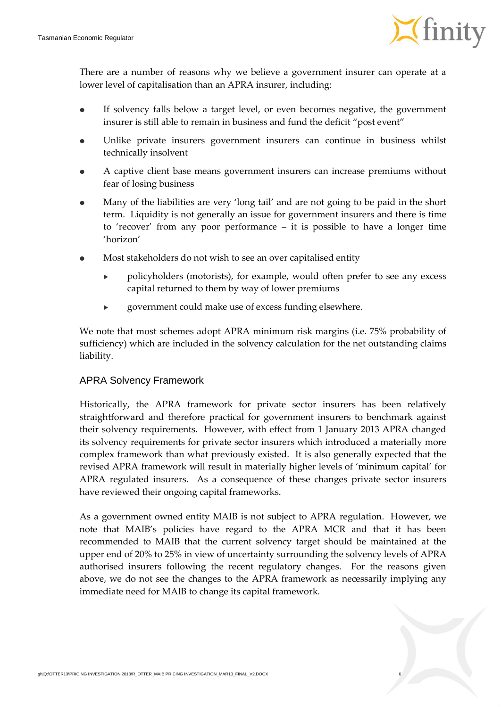

There are a number of reasons why we believe a government insurer can operate at a lower level of capitalisation than an APRA insurer, including:

- If solvency falls below a target level, or even becomes negative, the government insurer is still able to remain in business and fund the deficit "post event"
- Unlike private insurers government insurers can continue in business whilst technically insolvent
- A captive client base means government insurers can increase premiums without fear of losing business
- Many of the liabilities are very 'long tail' and are not going to be paid in the short term. Liquidity is not generally an issue for government insurers and there is time to 'recover' from any poor performance – it is possible to have a longer time 'horizon'
- Most stakeholders do not wish to see an over capitalised entity
	- policyholders (motorists), for example, would often prefer to see any excess capital returned to them by way of lower premiums
	- government could make use of excess funding elsewhere.

We note that most schemes adopt APRA minimum risk margins (i.e. 75% probability of sufficiency) which are included in the solvency calculation for the net outstanding claims liability.

#### APRA Solvency Framework

Historically, the APRA framework for private sector insurers has been relatively straightforward and therefore practical for government insurers to benchmark against their solvency requirements. However, with effect from 1 January 2013 APRA changed its solvency requirements for private sector insurers which introduced a materially more complex framework than what previously existed. It is also generally expected that the revised APRA framework will result in materially higher levels of 'minimum capital' for APRA regulated insurers. As a consequence of these changes private sector insurers have reviewed their ongoing capital frameworks.

As a government owned entity MAIB is not subject to APRA regulation. However, we note that MAIB's policies have regard to the APRA MCR and that it has been recommended to MAIB that the current solvency target should be maintained at the upper end of 20% to 25% in view of uncertainty surrounding the solvency levels of APRA authorised insurers following the recent regulatory changes. For the reasons given above, we do not see the changes to the APRA framework as necessarily implying any immediate need for MAIB to change its capital framework.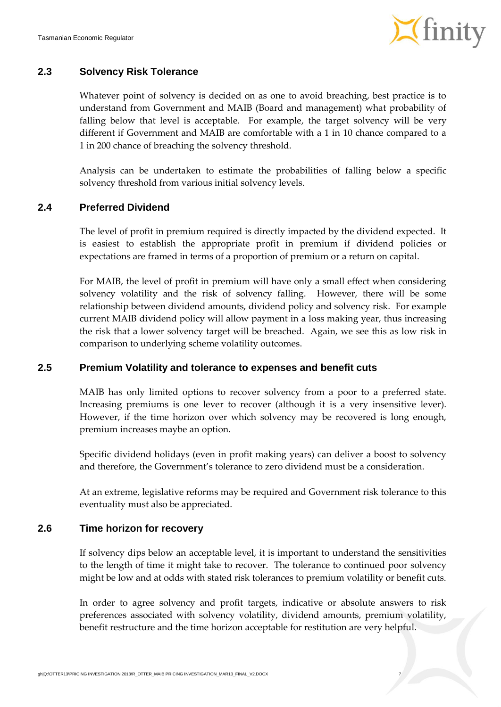

#### **2.3 Solvency Risk Tolerance**

Whatever point of solvency is decided on as one to avoid breaching, best practice is to understand from Government and MAIB (Board and management) what probability of falling below that level is acceptable. For example, the target solvency will be very different if Government and MAIB are comfortable with a 1 in 10 chance compared to a 1 in 200 chance of breaching the solvency threshold.

Analysis can be undertaken to estimate the probabilities of falling below a specific solvency threshold from various initial solvency levels.

#### **2.4 Preferred Dividend**

The level of profit in premium required is directly impacted by the dividend expected. It is easiest to establish the appropriate profit in premium if dividend policies or expectations are framed in terms of a proportion of premium or a return on capital.

For MAIB, the level of profit in premium will have only a small effect when considering solvency volatility and the risk of solvency falling. However, there will be some relationship between dividend amounts, dividend policy and solvency risk. For example current MAIB dividend policy will allow payment in a loss making year, thus increasing the risk that a lower solvency target will be breached. Again, we see this as low risk in comparison to underlying scheme volatility outcomes.

#### **2.5 Premium Volatility and tolerance to expenses and benefit cuts**

MAIB has only limited options to recover solvency from a poor to a preferred state. Increasing premiums is one lever to recover (although it is a very insensitive lever). However, if the time horizon over which solvency may be recovered is long enough, premium increases maybe an option.

Specific dividend holidays (even in profit making years) can deliver a boost to solvency and therefore, the Government's tolerance to zero dividend must be a consideration.

At an extreme, legislative reforms may be required and Government risk tolerance to this eventuality must also be appreciated.

#### **2.6 Time horizon for recovery**

If solvency dips below an acceptable level, it is important to understand the sensitivities to the length of time it might take to recover. The tolerance to continued poor solvency might be low and at odds with stated risk tolerances to premium volatility or benefit cuts.

In order to agree solvency and profit targets, indicative or absolute answers to risk preferences associated with solvency volatility, dividend amounts, premium volatility, benefit restructure and the time horizon acceptable for restitution are very helpful.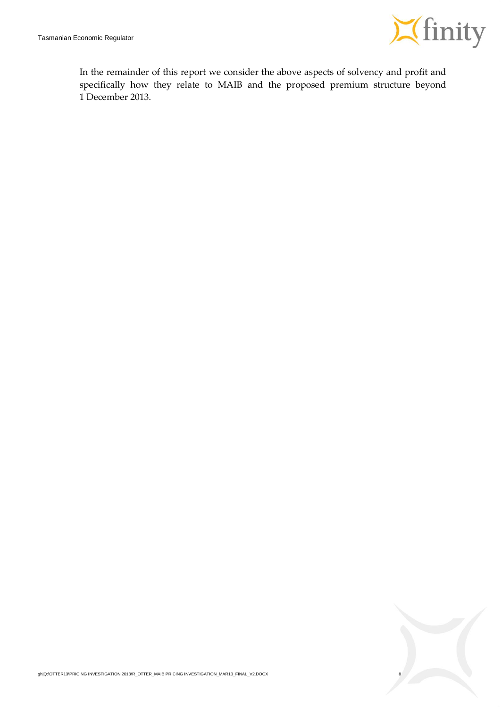

In the remainder of this report we consider the above aspects of solvency and profit and specifically how they relate to MAIB and the proposed premium structure beyond 1 December 2013.

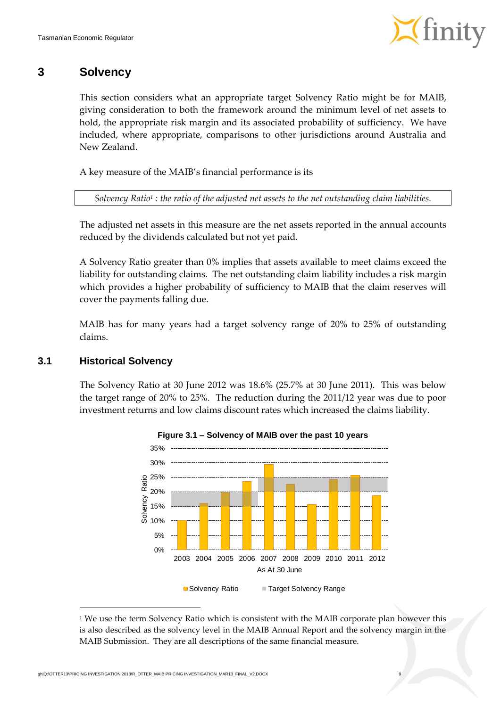

### **3 Solvency**

This section considers what an appropriate target Solvency Ratio might be for MAIB, giving consideration to both the framework around the minimum level of net assets to hold, the appropriate risk margin and its associated probability of sufficiency. We have included, where appropriate, comparisons to other jurisdictions around Australia and New Zealand.

A key measure of the MAIB's financial performance is its

*Solvency Ratio<sup>1</sup> : the ratio of the adjusted net assets to the net outstanding claim liabilities.*

The adjusted net assets in this measure are the net assets reported in the annual accounts reduced by the dividends calculated but not yet paid.

A Solvency Ratio greater than 0% implies that assets available to meet claims exceed the liability for outstanding claims. The net outstanding claim liability includes a risk margin which provides a higher probability of sufficiency to MAIB that the claim reserves will cover the payments falling due.

MAIB has for many years had a target solvency range of 20% to 25% of outstanding claims.

#### **3.1 Historical Solvency**

1

The Solvency Ratio at 30 June 2012 was 18.6% (25.7% at 30 June 2011). This was below the target range of 20% to 25%. The reduction during the 2011/12 year was due to poor investment returns and low claims discount rates which increased the claims liability.





 $1$ <sup>1</sup> We use the term Solvency Ratio which is consistent with the MAIB corporate plan however this is also described as the solvency level in the MAIB Annual Report and the solvency margin in the MAIB Submission. They are all descriptions of the same financial measure.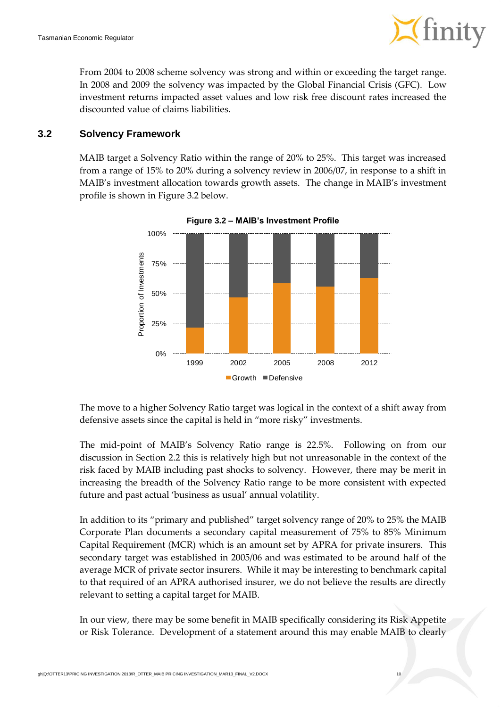

From 2004 to 2008 scheme solvency was strong and within or exceeding the target range. In 2008 and 2009 the solvency was impacted by the Global Financial Crisis (GFC). Low investment returns impacted asset values and low risk free discount rates increased the discounted value of claims liabilities.

#### **3.2 Solvency Framework**

<span id="page-16-0"></span>MAIB target a Solvency Ratio within the range of 20% to 25%. This target was increased from a range of 15% to 20% during a solvency review in 2006/07, in response to a shift in MAIB's investment allocation towards growth assets. The change in MAIB's investment profile is shown in [Figure](#page-16-0) 3.2 below.



**Figure 3.2 – MAIB's Investment Profile**

The move to a higher Solvency Ratio target was logical in the context of a shift away from defensive assets since the capital is held in "more risky" investments.

The mid-point of MAIB's Solvency Ratio range is 22.5%. Following on from our discussion in Section [2.2](#page-10-0) this is relatively high but not unreasonable in the context of the risk faced by MAIB including past shocks to solvency. However, there may be merit in increasing the breadth of the Solvency Ratio range to be more consistent with expected future and past actual 'business as usual' annual volatility.

In addition to its "primary and published" target solvency range of 20% to 25% the MAIB Corporate Plan documents a secondary capital measurement of 75% to 85% Minimum Capital Requirement (MCR) which is an amount set by APRA for private insurers. This secondary target was established in 2005/06 and was estimated to be around half of the average MCR of private sector insurers. While it may be interesting to benchmark capital to that required of an APRA authorised insurer, we do not believe the results are directly relevant to setting a capital target for MAIB.

In our view, there may be some benefit in MAIB specifically considering its Risk Appetite or Risk Tolerance. Development of a statement around this may enable MAIB to clearly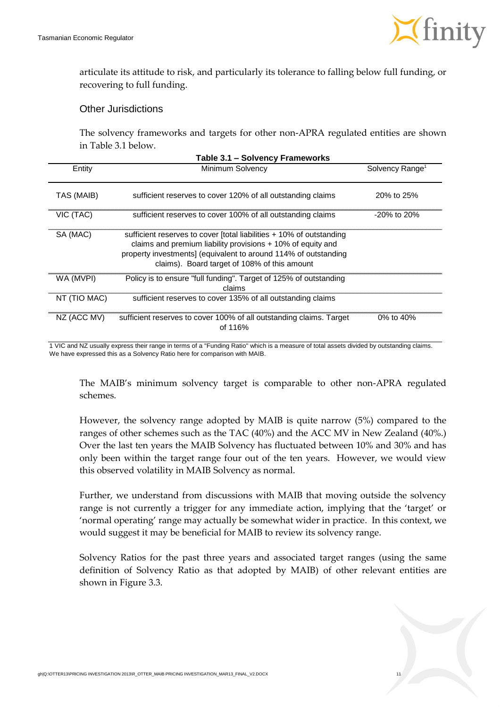

articulate its attitude to risk, and particularly its tolerance to falling below full funding, or recovering to full funding.

#### Other Jurisdictions

The solvency frameworks and targets for other non-APRA regulated entities are shown in [Table](#page-17-0) 3.1 below.

<span id="page-17-0"></span>

|              | Table 3.1 - Solvency Frameworks                                                                                                                                                                                                                          |                             |
|--------------|----------------------------------------------------------------------------------------------------------------------------------------------------------------------------------------------------------------------------------------------------------|-----------------------------|
| Entity       | Minimum Solvency                                                                                                                                                                                                                                         | Solvency Range <sup>1</sup> |
| TAS (MAIB)   | sufficient reserves to cover 120% of all outstanding claims                                                                                                                                                                                              | 20% to 25%                  |
| VIC (TAC)    | sufficient reserves to cover 100% of all outstanding claims                                                                                                                                                                                              | -20% to 20%                 |
| SA (MAC)     | sufficient reserves to cover [total liabilities + 10% of outstanding<br>claims and premium liability provisions $+10\%$ of equity and<br>property investments] (equivalent to around 114% of outstanding<br>claims). Board target of 108% of this amount |                             |
| WA (MVPI)    | Policy is to ensure "full funding". Target of 125% of outstanding<br>claims                                                                                                                                                                              |                             |
| NT (TIO MAC) | sufficient reserves to cover 135% of all outstanding claims                                                                                                                                                                                              |                             |
| NZ (ACC MV)  | sufficient reserves to cover 100% of all outstanding claims. Target<br>of 116%                                                                                                                                                                           | 0% to $40%$                 |

1 VIC and NZ usually express their range in terms of a "Funding Ratio" which is a measure of total assets divided by outstanding claims. We have expressed this as a Solvency Ratio here for comparison with MAIB.

The MAIB's minimum solvency target is comparable to other non-APRA regulated schemes.

However, the solvency range adopted by MAIB is quite narrow (5%) compared to the ranges of other schemes such as the TAC (40%) and the ACC MV in New Zealand (40%.) Over the last ten years the MAIB Solvency has fluctuated between 10% and 30% and has only been within the target range four out of the ten years. However, we would view this observed volatility in MAIB Solvency as normal.

Further, we understand from discussions with MAIB that moving outside the solvency range is not currently a trigger for any immediate action, implying that the 'target' or 'normal operating' range may actually be somewhat wider in practice. In this context, we would suggest it may be beneficial for MAIB to review its solvency range.

<span id="page-17-1"></span>Solvency Ratios for the past three years and associated target ranges (using the same definition of Solvency Ratio as that adopted by MAIB) of other relevant entities are shown in [Figure](#page-18-0) 3.3.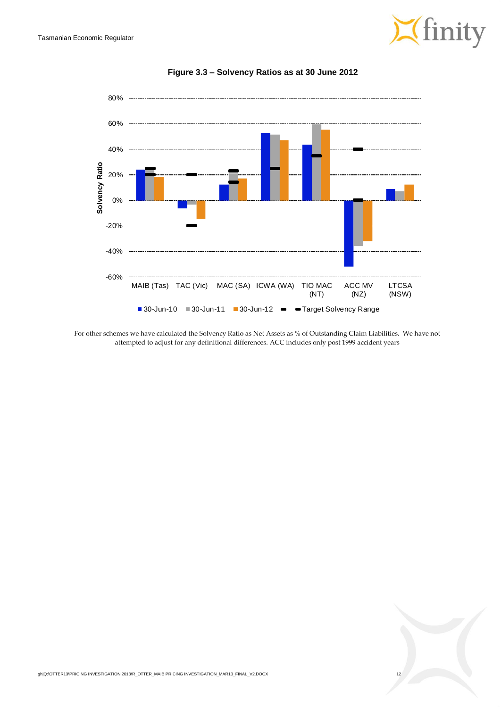

<span id="page-18-0"></span>

**Figure 3.3 – Solvency Ratios as at 30 June 2012**

For other schemes we have calculated the Solvency Ratio as Net Assets as % of Outstanding Claim Liabilities. We have not attempted to adjust for any definitional differences. ACC includes only post 1999 accident years

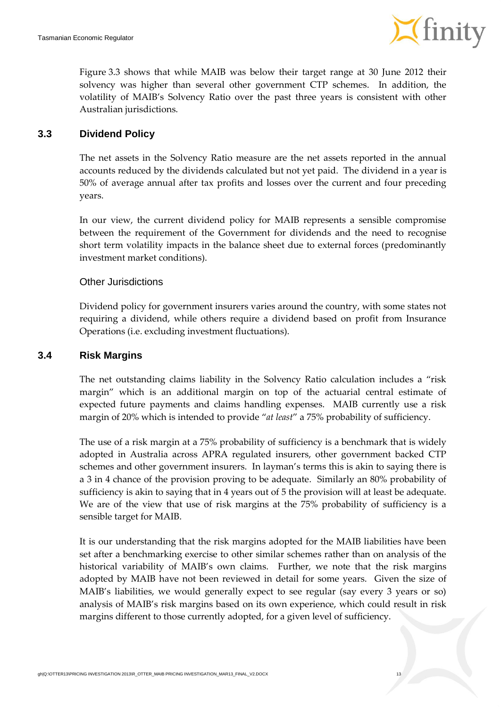

[Figure](#page-17-1) 3.3 shows that while MAIB was below their target range at 30 June 2012 their solvency was higher than several other government CTP schemes. In addition, the volatility of MAIB's Solvency Ratio over the past three years is consistent with other Australian jurisdictions.

#### **3.3 Dividend Policy**

The net assets in the Solvency Ratio measure are the net assets reported in the annual accounts reduced by the dividends calculated but not yet paid. The dividend in a year is 50% of average annual after tax profits and losses over the current and four preceding years.

In our view, the current dividend policy for MAIB represents a sensible compromise between the requirement of the Government for dividends and the need to recognise short term volatility impacts in the balance sheet due to external forces (predominantly investment market conditions).

#### Other Jurisdictions

Dividend policy for government insurers varies around the country, with some states not requiring a dividend, while others require a dividend based on profit from Insurance Operations (i.e. excluding investment fluctuations).

#### **3.4 Risk Margins**

The net outstanding claims liability in the Solvency Ratio calculation includes a "risk margin" which is an additional margin on top of the actuarial central estimate of expected future payments and claims handling expenses. MAIB currently use a risk margin of 20% which is intended to provide "*at least*" a 75% probability of sufficiency.

The use of a risk margin at a 75% probability of sufficiency is a benchmark that is widely adopted in Australia across APRA regulated insurers, other government backed CTP schemes and other government insurers. In layman's terms this is akin to saying there is a 3 in 4 chance of the provision proving to be adequate. Similarly an 80% probability of sufficiency is akin to saying that in 4 years out of 5 the provision will at least be adequate. We are of the view that use of risk margins at the 75% probability of sufficiency is a sensible target for MAIB.

It is our understanding that the risk margins adopted for the MAIB liabilities have been set after a benchmarking exercise to other similar schemes rather than on analysis of the historical variability of MAIB's own claims. Further, we note that the risk margins adopted by MAIB have not been reviewed in detail for some years. Given the size of MAIB's liabilities, we would generally expect to see regular (say every 3 years or so) analysis of MAIB's risk margins based on its own experience, which could result in risk margins different to those currently adopted, for a given level of sufficiency.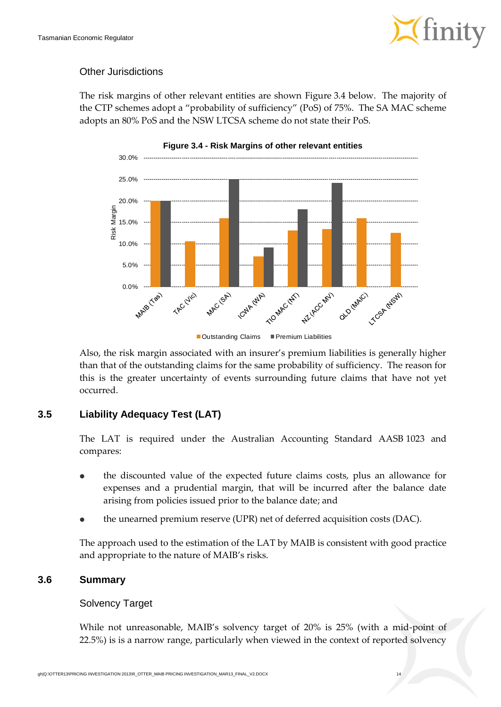

#### Other Jurisdictions

The risk margins of other relevant entities are shown [Figure](#page-20-0) 3.4 below. The majority of the CTP schemes adopt a "probability of sufficiency" (PoS) of 75%. The SA MAC scheme adopts an 80% PoS and the NSW LTCSA scheme do not state their PoS.

<span id="page-20-0"></span>

Also, the risk margin associated with an insurer's premium liabilities is generally higher than that of the outstanding claims for the same probability of sufficiency. The reason for this is the greater uncertainty of events surrounding future claims that have not yet occurred.

#### **3.5 Liability Adequacy Test (LAT)**

The LAT is required under the Australian Accounting Standard AASB 1023 and compares:

- the discounted value of the expected future claims costs, plus an allowance for expenses and a prudential margin, that will be incurred after the balance date arising from policies issued prior to the balance date; and
- the unearned premium reserve (UPR) net of deferred acquisition costs (DAC).

The approach used to the estimation of the LAT by MAIB is consistent with good practice and appropriate to the nature of MAIB's risks.

#### **3.6 Summary**

#### Solvency Target

While not unreasonable, MAIB's solvency target of 20% is 25% (with a mid-point of 22.5%) is is a narrow range, particularly when viewed in the context of reported solvency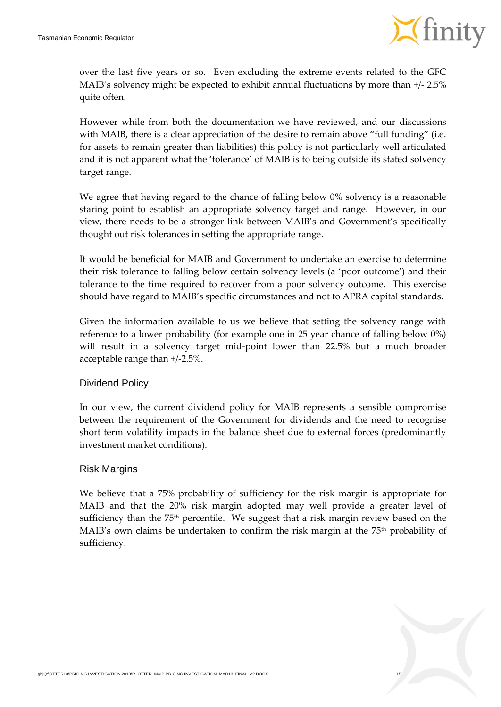

over the last five years or so. Even excluding the extreme events related to the GFC MAIB's solvency might be expected to exhibit annual fluctuations by more than +/- 2.5% quite often.

However while from both the documentation we have reviewed, and our discussions with MAIB, there is a clear appreciation of the desire to remain above "full funding" (i.e. for assets to remain greater than liabilities) this policy is not particularly well articulated and it is not apparent what the 'tolerance' of MAIB is to being outside its stated solvency target range.

We agree that having regard to the chance of falling below 0% solvency is a reasonable staring point to establish an appropriate solvency target and range. However, in our view, there needs to be a stronger link between MAIB's and Government's specifically thought out risk tolerances in setting the appropriate range.

It would be beneficial for MAIB and Government to undertake an exercise to determine their risk tolerance to falling below certain solvency levels (a 'poor outcome') and their tolerance to the time required to recover from a poor solvency outcome. This exercise should have regard to MAIB's specific circumstances and not to APRA capital standards.

Given the information available to us we believe that setting the solvency range with reference to a lower probability (for example one in 25 year chance of falling below 0%) will result in a solvency target mid-point lower than 22.5% but a much broader acceptable range than +/-2.5%.

#### Dividend Policy

In our view, the current dividend policy for MAIB represents a sensible compromise between the requirement of the Government for dividends and the need to recognise short term volatility impacts in the balance sheet due to external forces (predominantly investment market conditions).

#### Risk Margins

We believe that a 75% probability of sufficiency for the risk margin is appropriate for MAIB and that the 20% risk margin adopted may well provide a greater level of sufficiency than the 75<sup>th</sup> percentile. We suggest that a risk margin review based on the MAIB's own claims be undertaken to confirm the risk margin at the 75<sup>th</sup> probability of sufficiency.

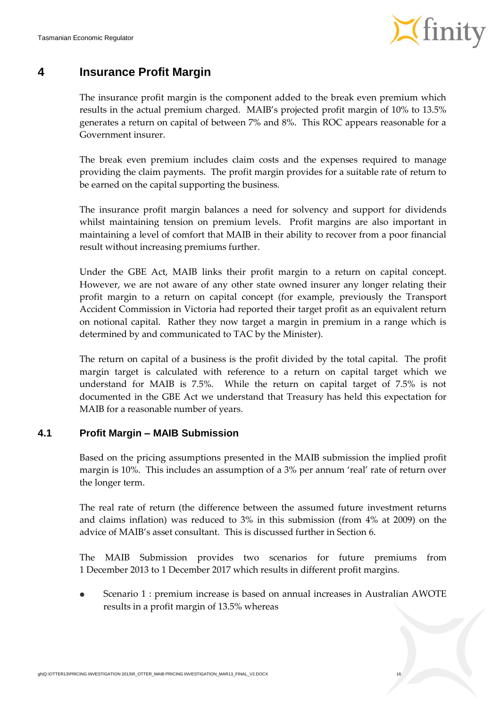

### **4 Insurance Profit Margin**

The insurance profit margin is the component added to the break even premium which results in the actual premium charged. MAIB's projected profit margin of 10% to 13.5% generates a return on capital of between 7% and 8%. This ROC appears reasonable for a Government insurer.

The break even premium includes claim costs and the expenses required to manage providing the claim payments. The profit margin provides for a suitable rate of return to be earned on the capital supporting the business.

The insurance profit margin balances a need for solvency and support for dividends whilst maintaining tension on premium levels. Profit margins are also important in maintaining a level of comfort that MAIB in their ability to recover from a poor financial result without increasing premiums further.

Under the GBE Act, MAIB links their profit margin to a return on capital concept. However, we are not aware of any other state owned insurer any longer relating their profit margin to a return on capital concept (for example, previously the Transport Accident Commission in Victoria had reported their target profit as an equivalent return on notional capital. Rather they now target a margin in premium in a range which is determined by and communicated to TAC by the Minister).

The return on capital of a business is the profit divided by the total capital. The profit margin target is calculated with reference to a return on capital target which we understand for MAIB is 7.5%. While the return on capital target of 7.5% is not documented in the GBE Act we understand that Treasury has held this expectation for MAIB for a reasonable number of years.

#### **4.1 Profit Margin – MAIB Submission**

Based on the pricing assumptions presented in the MAIB submission the implied profit margin is 10%. This includes an assumption of a 3% per annum 'real' rate of return over the longer term.

The real rate of return (the difference between the assumed future investment returns and claims inflation) was reduced to 3% in this submission (from 4% at 2009) on the advice of MAIB's asset consultant. This is discussed further in Sectio[n 6.](#page-29-0)

The MAIB Submission provides two scenarios for future premiums from 1 December 2013 to 1 December 2017 which results in different profit margins.

 Scenario 1 : premium increase is based on annual increases in Australian AWOTE results in a profit margin of 13.5% whereas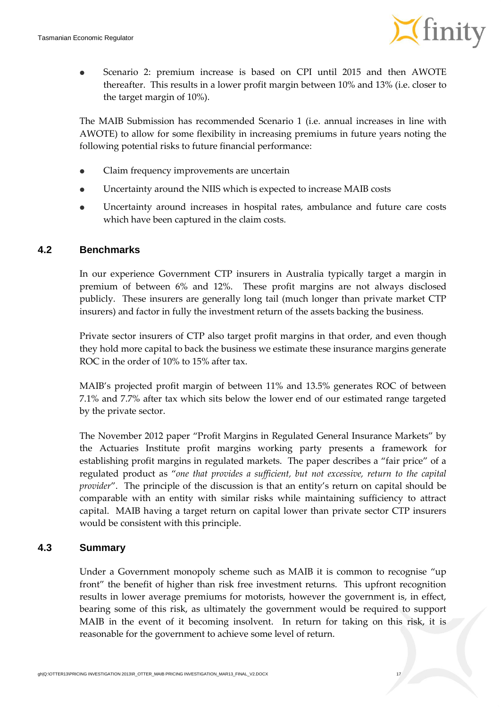

 Scenario 2: premium increase is based on CPI until 2015 and then AWOTE thereafter. This results in a lower profit margin between 10% and 13% (i.e. closer to the target margin of 10%).

The MAIB Submission has recommended Scenario 1 (i.e. annual increases in line with AWOTE) to allow for some flexibility in increasing premiums in future years noting the following potential risks to future financial performance:

- Claim frequency improvements are uncertain
- Uncertainty around the NIIS which is expected to increase MAIB costs
- Uncertainty around increases in hospital rates, ambulance and future care costs which have been captured in the claim costs.

#### **4.2 Benchmarks**

In our experience Government CTP insurers in Australia typically target a margin in premium of between 6% and 12%. These profit margins are not always disclosed publicly. These insurers are generally long tail (much longer than private market CTP insurers) and factor in fully the investment return of the assets backing the business.

Private sector insurers of CTP also target profit margins in that order, and even though they hold more capital to back the business we estimate these insurance margins generate ROC in the order of 10% to 15% after tax.

MAIB's projected profit margin of between 11% and 13.5% generates ROC of between 7.1% and 7.7% after tax which sits below the lower end of our estimated range targeted by the private sector.

The November 2012 paper "Profit Margins in Regulated General Insurance Markets" by the Actuaries Institute profit margins working party presents a framework for establishing profit margins in regulated markets. The paper describes a "fair price" of a regulated product as "*one that provides a sufficient, but not excessive, return to the capital provider*". The principle of the discussion is that an entity's return on capital should be comparable with an entity with similar risks while maintaining sufficiency to attract capital. MAIB having a target return on capital lower than private sector CTP insurers would be consistent with this principle.

#### **4.3 Summary**

Under a Government monopoly scheme such as MAIB it is common to recognise "up front" the benefit of higher than risk free investment returns. This upfront recognition results in lower average premiums for motorists, however the government is, in effect, bearing some of this risk, as ultimately the government would be required to support MAIB in the event of it becoming insolvent. In return for taking on this risk, it is reasonable for the government to achieve some level of return.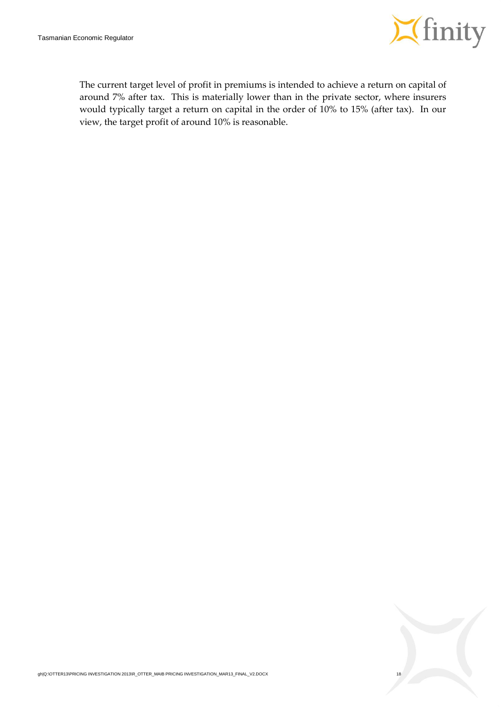

The current target level of profit in premiums is intended to achieve a return on capital of around 7% after tax. This is materially lower than in the private sector, where insurers would typically target a return on capital in the order of 10% to 15% (after tax). In our view, the target profit of around 10% is reasonable.

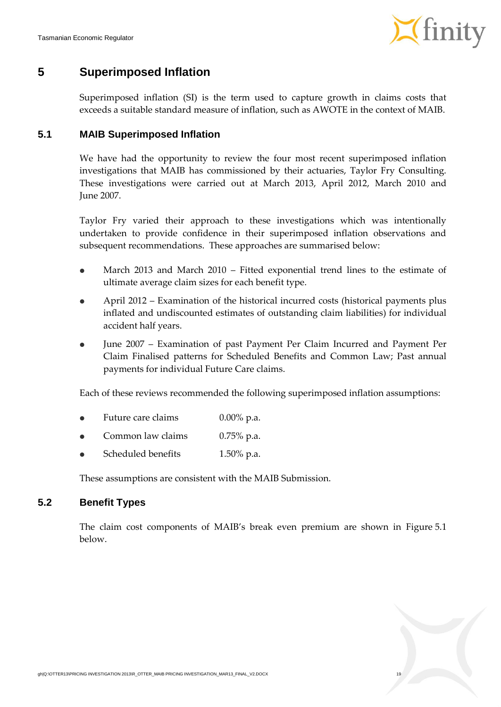

### **5 Superimposed Inflation**

Superimposed inflation (SI) is the term used to capture growth in claims costs that exceeds a suitable standard measure of inflation, such as AWOTE in the context of MAIB.

#### **5.1 MAIB Superimposed Inflation**

We have had the opportunity to review the four most recent superimposed inflation investigations that MAIB has commissioned by their actuaries, Taylor Fry Consulting. These investigations were carried out at March 2013, April 2012, March 2010 and June 2007.

Taylor Fry varied their approach to these investigations which was intentionally undertaken to provide confidence in their superimposed inflation observations and subsequent recommendations. These approaches are summarised below:

- March 2013 and March 2010 Fitted exponential trend lines to the estimate of ultimate average claim sizes for each benefit type.
- April 2012 Examination of the historical incurred costs (historical payments plus inflated and undiscounted estimates of outstanding claim liabilities) for individual accident half years.
- June 2007 Examination of past Payment Per Claim Incurred and Payment Per Claim Finalised patterns for Scheduled Benefits and Common Law; Past annual payments for individual Future Care claims.

Each of these reviews recommended the following superimposed inflation assumptions:

- Future care claims 0.00% p.a.
- Common law claims 0.75% p.a.
- Scheduled benefits 1.50% p.a.

These assumptions are consistent with the MAIB Submission.

#### **5.2 Benefit Types**

The claim cost components of MAIB's break even premium are shown in [Figure](#page-26-0) 5.1 below.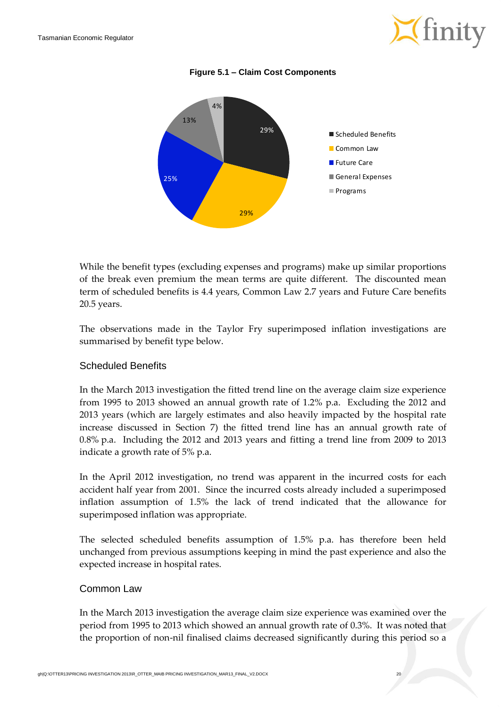

**Figure 5.1 – Claim Cost Components**

<span id="page-26-0"></span>

While the benefit types (excluding expenses and programs) make up similar proportions of the break even premium the mean terms are quite different. The discounted mean term of scheduled benefits is 4.4 years, Common Law 2.7 years and Future Care benefits 20.5 years.

The observations made in the Taylor Fry superimposed inflation investigations are summarised by benefit type below.

#### Scheduled Benefits

In the March 2013 investigation the fitted trend line on the average claim size experience from 1995 to 2013 showed an annual growth rate of 1.2% p.a. Excluding the 2012 and 2013 years (which are largely estimates and also heavily impacted by the hospital rate increase discussed in Section [7\)](#page-33-0) the fitted trend line has an annual growth rate of 0.8% p.a. Including the 2012 and 2013 years and fitting a trend line from 2009 to 2013 indicate a growth rate of 5% p.a.

In the April 2012 investigation, no trend was apparent in the incurred costs for each accident half year from 2001. Since the incurred costs already included a superimposed inflation assumption of 1.5% the lack of trend indicated that the allowance for superimposed inflation was appropriate.

The selected scheduled benefits assumption of 1.5% p.a. has therefore been held unchanged from previous assumptions keeping in mind the past experience and also the expected increase in hospital rates.

#### Common Law

In the March 2013 investigation the average claim size experience was examined over the period from 1995 to 2013 which showed an annual growth rate of 0.3%. It was noted that the proportion of non-nil finalised claims decreased significantly during this period so a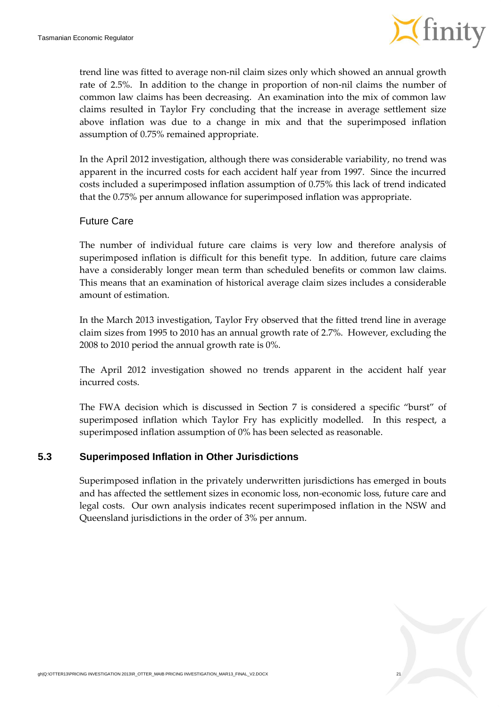

trend line was fitted to average non-nil claim sizes only which showed an annual growth rate of 2.5%. In addition to the change in proportion of non-nil claims the number of common law claims has been decreasing. An examination into the mix of common law claims resulted in Taylor Fry concluding that the increase in average settlement size above inflation was due to a change in mix and that the superimposed inflation assumption of 0.75% remained appropriate.

In the April 2012 investigation, although there was considerable variability, no trend was apparent in the incurred costs for each accident half year from 1997. Since the incurred costs included a superimposed inflation assumption of 0.75% this lack of trend indicated that the 0.75% per annum allowance for superimposed inflation was appropriate.

#### Future Care

The number of individual future care claims is very low and therefore analysis of superimposed inflation is difficult for this benefit type. In addition, future care claims have a considerably longer mean term than scheduled benefits or common law claims. This means that an examination of historical average claim sizes includes a considerable amount of estimation.

In the March 2013 investigation, Taylor Fry observed that the fitted trend line in average claim sizes from 1995 to 2010 has an annual growth rate of 2.7%. However, excluding the 2008 to 2010 period the annual growth rate is 0%.

The April 2012 investigation showed no trends apparent in the accident half year incurred costs.

The FWA decision which is discussed in Section [7](#page-33-0) is considered a specific "burst" of superimposed inflation which Taylor Fry has explicitly modelled. In this respect, a superimposed inflation assumption of 0% has been selected as reasonable.

#### **5.3 Superimposed Inflation in Other Jurisdictions**

Superimposed inflation in the privately underwritten jurisdictions has emerged in bouts and has affected the settlement sizes in economic loss, non-economic loss, future care and legal costs. Our own analysis indicates recent superimposed inflation in the NSW and Queensland jurisdictions in the order of 3% per annum.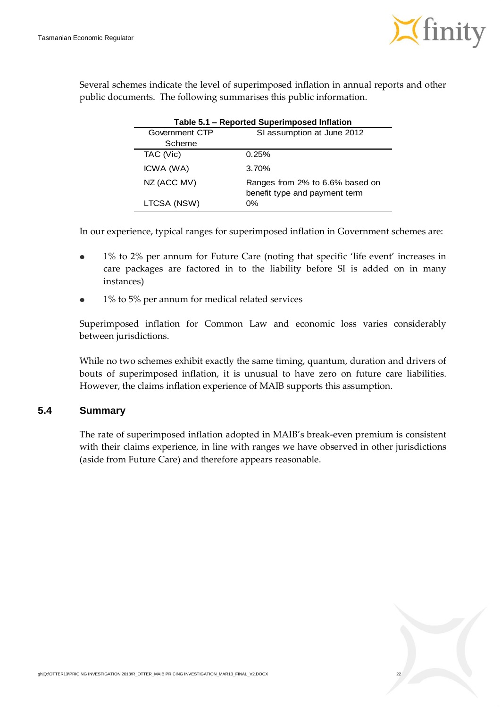

| Several schemes indicate the level of superimposed inflation in annual reports and other |  |
|------------------------------------------------------------------------------------------|--|
| public documents. The following summarises this public information.                      |  |

|                | Table 5.1 - Reported Superimposed Inflation                      |
|----------------|------------------------------------------------------------------|
| Government CTP | SI assumption at June 2012                                       |
| Scheme         |                                                                  |
| TAC (Vic)      | 0.25%                                                            |
| ICWA (WA)      | 3.70%                                                            |
| NZ (ACC MV)    | Ranges from 2% to 6.6% based on<br>benefit type and payment term |
| LTCSA (NSW)    | 0%                                                               |

In our experience, typical ranges for superimposed inflation in Government schemes are:

- 1% to 2% per annum for Future Care (noting that specific 'life event' increases in care packages are factored in to the liability before SI is added on in many instances)
- 1% to 5% per annum for medical related services

Superimposed inflation for Common Law and economic loss varies considerably between jurisdictions.

While no two schemes exhibit exactly the same timing, quantum, duration and drivers of bouts of superimposed inflation, it is unusual to have zero on future care liabilities. However, the claims inflation experience of MAIB supports this assumption.

#### **5.4 Summary**

The rate of superimposed inflation adopted in MAIB's break-even premium is consistent with their claims experience, in line with ranges we have observed in other jurisdictions (aside from Future Care) and therefore appears reasonable.

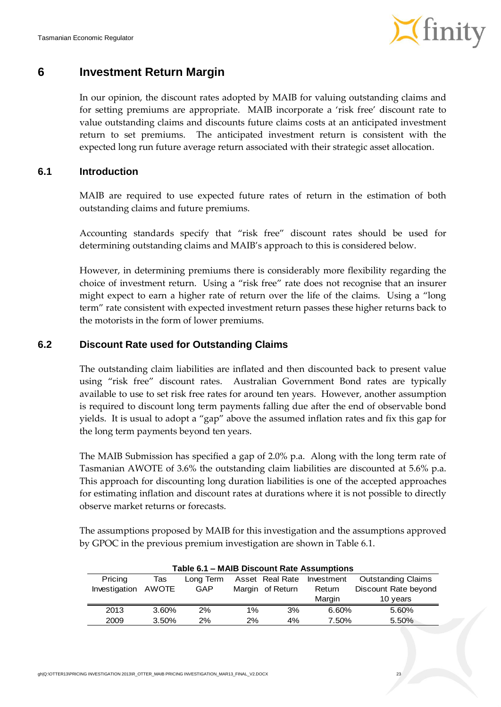

### <span id="page-29-0"></span>**6 Investment Return Margin**

In our opinion, the discount rates adopted by MAIB for valuing outstanding claims and for setting premiums are appropriate. MAIB incorporate a 'risk free' discount rate to value outstanding claims and discounts future claims costs at an anticipated investment return to set premiums. The anticipated investment return is consistent with the expected long run future average return associated with their strategic asset allocation.

#### **6.1 Introduction**

MAIB are required to use expected future rates of return in the estimation of both outstanding claims and future premiums.

Accounting standards specify that "risk free" discount rates should be used for determining outstanding claims and MAIB's approach to this is considered below.

However, in determining premiums there is considerably more flexibility regarding the choice of investment return. Using a "risk free" rate does not recognise that an insurer might expect to earn a higher rate of return over the life of the claims. Using a "long term" rate consistent with expected investment return passes these higher returns back to the motorists in the form of lower premiums.

#### **6.2 Discount Rate used for Outstanding Claims**

The outstanding claim liabilities are inflated and then discounted back to present value using "risk free" discount rates. Australian Government Bond rates are typically available to use to set risk free rates for around ten years. However, another assumption is required to discount long term payments falling due after the end of observable bond yields. It is usual to adopt a "gap" above the assumed inflation rates and fix this gap for the long term payments beyond ten years.

The MAIB Submission has specified a gap of 2.0% p.a. Along with the long term rate of Tasmanian AWOTE of 3.6% the outstanding claim liabilities are discounted at 5.6% p.a. This approach for discounting long duration liabilities is one of the accepted approaches for estimating inflation and discount rates at durations where it is not possible to directly observe market returns or forecasts.

The assumptions proposed by MAIB for this investigation and the assumptions approved by GPOC in the previous premium investigation are shown in [Table](#page-29-1) 6.1.

<span id="page-29-1"></span>

|                     |       |           |                               |    | Table 6.1 - MAIB Discount Rate Assumptions |                      |
|---------------------|-------|-----------|-------------------------------|----|--------------------------------------------|----------------------|
| Pricing             | Tas   | Long Term | Asset Real Rate<br>Investment |    | <b>Outstanding Claims</b>                  |                      |
| Investigation AWOTE |       | GAP       | Margin of Return              |    | Return                                     | Discount Rate beyond |
|                     |       |           |                               |    | Margin                                     | 10 years             |
| 2013                | 3.60% | 2%        | 1%                            | 3% | 6.60%                                      | 5.60%                |
| 2009                | 3.50% | 2%        | 2%                            | 4% | 7.50%                                      | 5.50%                |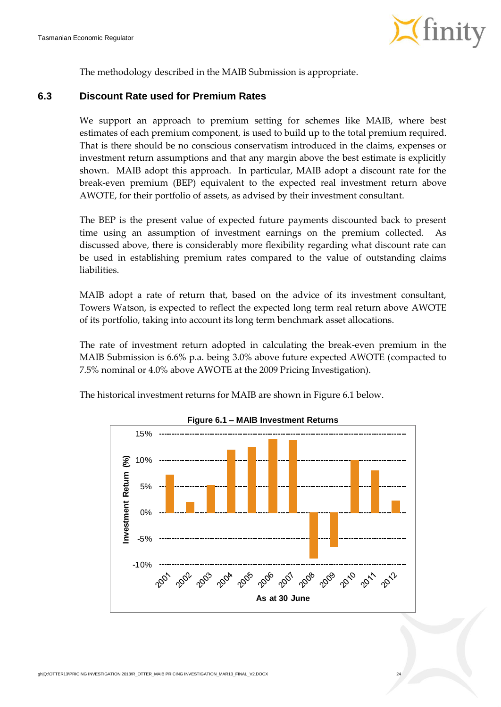

The methodology described in the MAIB Submission is appropriate.

#### **6.3 Discount Rate used for Premium Rates**

We support an approach to premium setting for schemes like MAIB, where best estimates of each premium component, is used to build up to the total premium required. That is there should be no conscious conservatism introduced in the claims, expenses or investment return assumptions and that any margin above the best estimate is explicitly shown. MAIB adopt this approach. In particular, MAIB adopt a discount rate for the break-even premium (BEP) equivalent to the expected real investment return above AWOTE, for their portfolio of assets, as advised by their investment consultant.

The BEP is the present value of expected future payments discounted back to present time using an assumption of investment earnings on the premium collected. As discussed above, there is considerably more flexibility regarding what discount rate can be used in establishing premium rates compared to the value of outstanding claims liabilities.

MAIB adopt a rate of return that, based on the advice of its investment consultant, Towers Watson, is expected to reflect the expected long term real return above AWOTE of its portfolio, taking into account its long term benchmark asset allocations.

The rate of investment return adopted in calculating the break-even premium in the MAIB Submission is 6.6% p.a. being 3.0% above future expected AWOTE (compacted to 7.5% nominal or 4.0% above AWOTE at the 2009 Pricing Investigation).

<span id="page-30-0"></span>The historical investment returns for MAIB are shown in [Figure](#page-30-0) 6.1 below.



**Figure 6.1 – MAIB Investment Returns**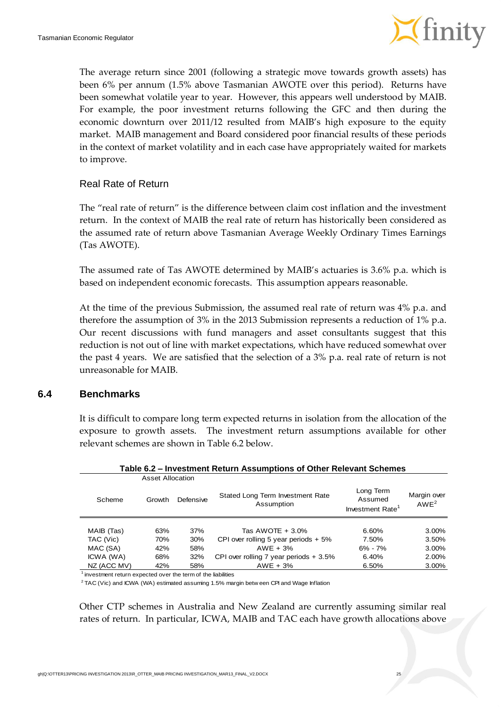

The average return since 2001 (following a strategic move towards growth assets) has been 6% per annum (1.5% above Tasmanian AWOTE over this period). Returns have been somewhat volatile year to year. However, this appears well understood by MAIB. For example, the poor investment returns following the GFC and then during the economic downturn over 2011/12 resulted from MAIB's high exposure to the equity market. MAIB management and Board considered poor financial results of these periods in the context of market volatility and in each case have appropriately waited for markets to improve.

#### Real Rate of Return

The "real rate of return" is the difference between claim cost inflation and the investment return. In the context of MAIB the real rate of return has historically been considered as the assumed rate of return above Tasmanian Average Weekly Ordinary Times Earnings (Tas AWOTE).

The assumed rate of Tas AWOTE determined by MAIB's actuaries is 3.6% p.a. which is based on independent economic forecasts. This assumption appears reasonable.

At the time of the previous Submission, the assumed real rate of return was 4% p.a. and therefore the assumption of 3% in the 2013 Submission represents a reduction of 1% p.a. Our recent discussions with fund managers and asset consultants suggest that this reduction is not out of line with market expectations, which have reduced somewhat over the past 4 years. We are satisfied that the selection of a 3% p.a. real rate of return is not unreasonable for MAIB.

#### **6.4 Benchmarks**

It is difficult to compare long term expected returns in isolation from the allocation of the exposure to growth assets. The investment return assumptions available for other relevant schemes are shown in [Table](#page-31-0) 6.2 below.

<span id="page-31-0"></span>

|             |                         |           | Table 6.2 – Investment Return Assumptions of Other Relevant Schemes |                                                      |                                 |
|-------------|-------------------------|-----------|---------------------------------------------------------------------|------------------------------------------------------|---------------------------------|
|             | <b>Asset Allocation</b> |           |                                                                     |                                                      |                                 |
| Scheme      | Growth                  | Defensive | Stated Long Term Investment Rate<br>Assumption                      | Long Term<br>Assumed<br>Investment Rate <sup>1</sup> | Margin over<br>AWE <sup>2</sup> |
|             |                         |           |                                                                     |                                                      |                                 |
| MAIB (Tas)  | 63%                     | 37%       | Tas AWOTE $+3.0\%$                                                  | 6.60%                                                | 3.00%                           |
| TAC (Vic)   | 70%                     | 30%       | CPI over rolling 5 year periods $+5\%$                              | 7.50%                                                | 3.50%                           |
| MAC (SA)    | 42%                     | 58%       | $AWE + 3%$                                                          | $6\% - 7\%$                                          | 3.00%                           |
| ICWA (WA)   | 68%                     | 32%       | CPI over rolling 7 year periods $+3.5\%$                            | 6.40%                                                | 2.00%                           |
| NZ (ACC MV) | 42%                     | 58%       | $AWE + 3%$                                                          | 6.50%                                                | 3.00%                           |

**Table 6.2 – Investment Return Assumptions of Other Relevant Schemes**

 $1$  investment return expected over the term of the liabilities

 $2$  TAC (Vic) and ICWA (WA) estimated assuming 1.5% margin betw een CPI and Wage Inflation

Other CTP schemes in Australia and New Zealand are currently assuming similar real rates of return. In particular, ICWA, MAIB and TAC each have growth allocations above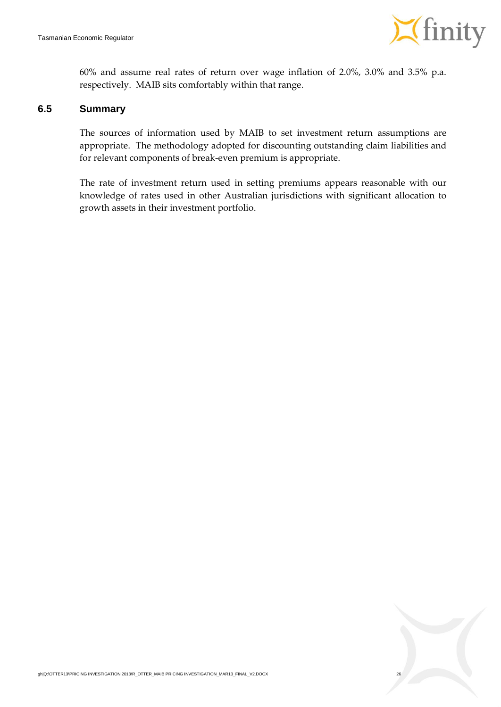

60% and assume real rates of return over wage inflation of 2.0%, 3.0% and 3.5% p.a. respectively. MAIB sits comfortably within that range.

#### **6.5 Summary**

The sources of information used by MAIB to set investment return assumptions are appropriate. The methodology adopted for discounting outstanding claim liabilities and for relevant components of break-even premium is appropriate.

The rate of investment return used in setting premiums appears reasonable with our knowledge of rates used in other Australian jurisdictions with significant allocation to growth assets in their investment portfolio.

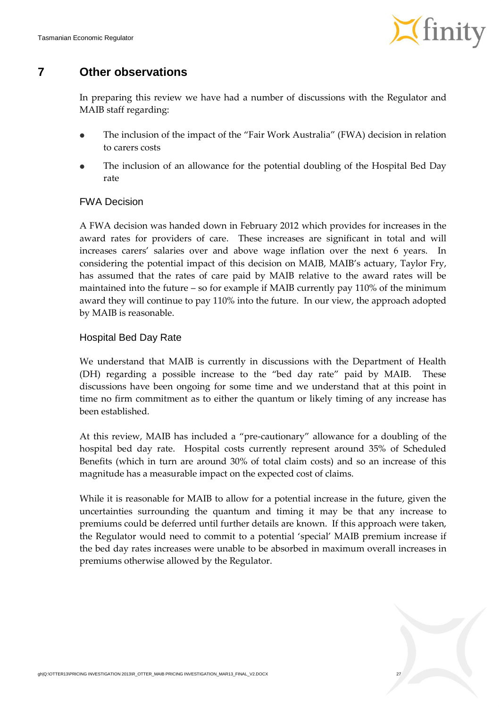

### <span id="page-33-0"></span>**7 Other observations**

In preparing this review we have had a number of discussions with the Regulator and MAIB staff regarding:

- The inclusion of the impact of the "Fair Work Australia" (FWA) decision in relation to carers costs
- The inclusion of an allowance for the potential doubling of the Hospital Bed Day rate

#### FWA Decision

A FWA decision was handed down in February 2012 which provides for increases in the award rates for providers of care. These increases are significant in total and will increases carers' salaries over and above wage inflation over the next 6 years. In considering the potential impact of this decision on MAIB, MAIB's actuary, Taylor Fry, has assumed that the rates of care paid by MAIB relative to the award rates will be maintained into the future – so for example if MAIB currently pay 110% of the minimum award they will continue to pay 110% into the future. In our view, the approach adopted by MAIB is reasonable.

#### Hospital Bed Day Rate

We understand that MAIB is currently in discussions with the Department of Health (DH) regarding a possible increase to the "bed day rate" paid by MAIB. These discussions have been ongoing for some time and we understand that at this point in time no firm commitment as to either the quantum or likely timing of any increase has been established.

At this review, MAIB has included a "pre-cautionary" allowance for a doubling of the hospital bed day rate. Hospital costs currently represent around 35% of Scheduled Benefits (which in turn are around 30% of total claim costs) and so an increase of this magnitude has a measurable impact on the expected cost of claims.

While it is reasonable for MAIB to allow for a potential increase in the future, given the uncertainties surrounding the quantum and timing it may be that any increase to premiums could be deferred until further details are known. If this approach were taken, the Regulator would need to commit to a potential 'special' MAIB premium increase if the bed day rates increases were unable to be absorbed in maximum overall increases in premiums otherwise allowed by the Regulator.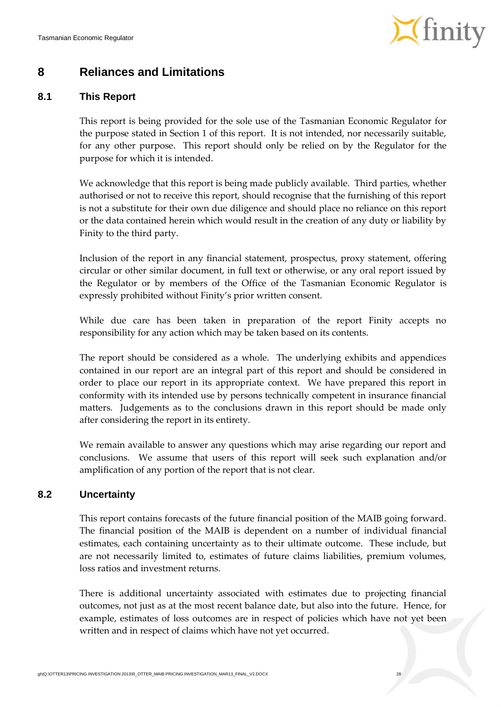

### <span id="page-34-0"></span>**8 Reliances and Limitations**

#### **8.1 This Report**

This report is being provided for the sole use of the Tasmanian Economic Regulator for the purpose stated in Section 1 of this report. It is not intended, nor necessarily suitable, for any other purpose. This report should only be relied on by the Regulator for the purpose for which it is intended.

We acknowledge that this report is being made publicly available. Third parties, whether authorised or not to receive this report, should recognise that the furnishing of this report is not a substitute for their own due diligence and should place no reliance on this report or the data contained herein which would result in the creation of any duty or liability by Finity to the third party.

Inclusion of the report in any financial statement, prospectus, proxy statement, offering circular or other similar document, in full text or otherwise, or any oral report issued by the Regulator or by members of the Office of the Tasmanian Economic Regulator is expressly prohibited without Finity's prior written consent.

While due care has been taken in preparation of the report Finity accepts no responsibility for any action which may be taken based on its contents.

The report should be considered as a whole. The underlying exhibits and appendices contained in our report are an integral part of this report and should be considered in order to place our report in its appropriate context. We have prepared this report in conformity with its intended use by persons technically competent in insurance financial matters. Judgements as to the conclusions drawn in this report should be made only after considering the report in its entirety.

We remain available to answer any questions which may arise regarding our report and conclusions. We assume that users of this report will seek such explanation and/or amplification of any portion of the report that is not clear.

#### **8.2 Uncertainty**

This report contains forecasts of the future financial position of the MAIB going forward. The financial position of the MAIB is dependent on a number of individual financial estimates, each containing uncertainty as to their ultimate outcome. These include, but are not necessarily limited to, estimates of future claims liabilities, premium volumes, loss ratios and investment returns.

There is additional uncertainty associated with estimates due to projecting financial outcomes, not just as at the most recent balance date, but also into the future. Hence, for example, estimates of loss outcomes are in respect of policies which have not yet been written and in respect of claims which have not yet occurred.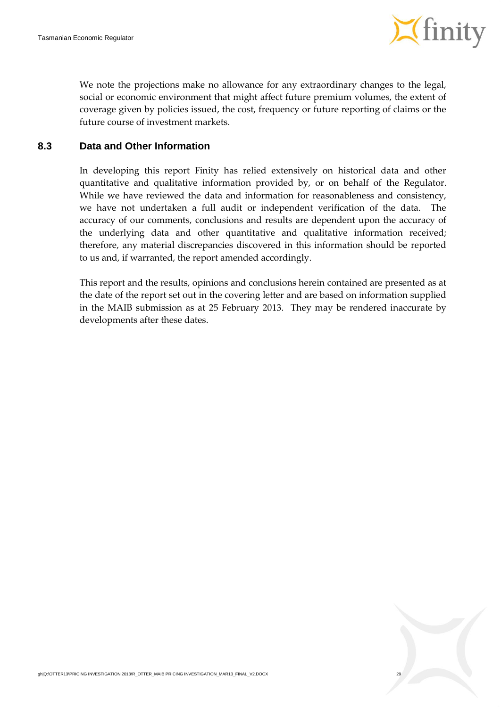

We note the projections make no allowance for any extraordinary changes to the legal, social or economic environment that might affect future premium volumes, the extent of coverage given by policies issued, the cost, frequency or future reporting of claims or the future course of investment markets.

#### **8.3 Data and Other Information**

In developing this report Finity has relied extensively on historical data and other quantitative and qualitative information provided by, or on behalf of the Regulator. While we have reviewed the data and information for reasonableness and consistency, we have not undertaken a full audit or independent verification of the data. The accuracy of our comments, conclusions and results are dependent upon the accuracy of the underlying data and other quantitative and qualitative information received; therefore, any material discrepancies discovered in this information should be reported to us and, if warranted, the report amended accordingly.

This report and the results, opinions and conclusions herein contained are presented as at the date of the report set out in the covering letter and are based on information supplied in the MAIB submission as at 25 February 2013. They may be rendered inaccurate by developments after these dates.

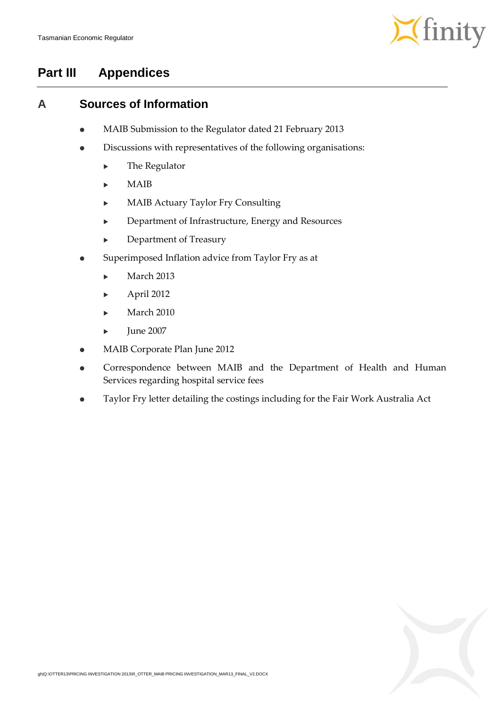

## **Part III Appendices**

### <span id="page-36-0"></span>**A Sources of Information**

- MAIB Submission to the Regulator dated 21 February 2013
- Discussions with representatives of the following organisations:
	- ▶ The Regulator
	- $\blacktriangleright$  MAIB
	- MAIB Actuary Taylor Fry Consulting
	- Department of Infrastructure, Energy and Resources
	- Department of Treasury
- Superimposed Inflation advice from Taylor Fry as at
	- $\blacktriangleright$  March 2013
	- April 2012
	- March 2010
	- June 2007
- MAIB Corporate Plan June 2012
- Correspondence between MAIB and the Department of Health and Human Services regarding hospital service fees
- Taylor Fry letter detailing the costings including for the Fair Work Australia Act

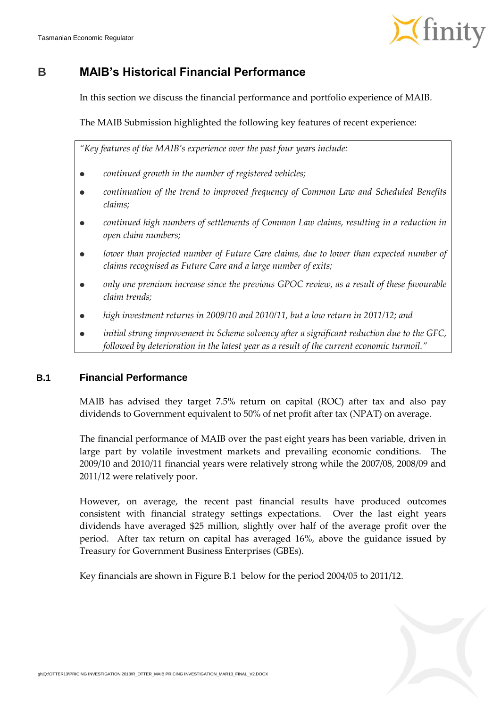

### <span id="page-37-0"></span>**B MAIB's Historical Financial Performance**

In this section we discuss the financial performance and portfolio experience of MAIB.

The MAIB Submission highlighted the following key features of recent experience:

*"Key features of the MAIB's experience over the past four years include:*

- *continued growth in the number of registered vehicles;*
- *continuation of the trend to improved frequency of Common Law and Scheduled Benefits claims;*
- continued high numbers of settlements of Common Law claims, resulting in a reduction in *open claim numbers;*
- *lower than projected number of Future Care claims, due to lower than expected number of claims recognised as Future Care and a large number of exits;*
- *only one premium increase since the previous GPOC review, as a result of these favourable claim trends;*
- *high investment returns in 2009/10 and 2010/11, but a low return in 2011/12; and*
- *initial strong improvement in Scheme solvency after a significant reduction due to the GFC, followed by deterioration in the latest year as a result of the current economic turmoil."*

#### **B.1 Financial Performance**

MAIB has advised they target 7.5% return on capital (ROC) after tax and also pay dividends to Government equivalent to 50% of net profit after tax (NPAT) on average.

The financial performance of MAIB over the past eight years has been variable, driven in large part by volatile investment markets and prevailing economic conditions. The 2009/10 and 2010/11 financial years were relatively strong while the 2007/08, 2008/09 and 2011/12 were relatively poor.

However, on average, the recent past financial results have produced outcomes consistent with financial strategy settings expectations. Over the last eight years dividends have averaged \$25 million, slightly over half of the average profit over the period. After tax return on capital has averaged 16%, above the guidance issued by Treasury for Government Business Enterprises (GBEs).

Key financials are shown in [Figure](#page-38-0) B.1 below for the period 2004/05 to 2011/12.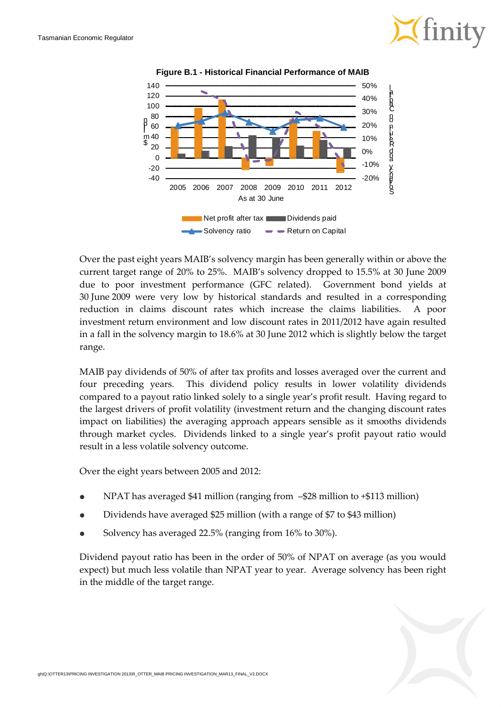

<span id="page-38-0"></span>

**Figure B.1 - Historical Financial Performance of MAIB**

Over the past eight years MAIB's solvency margin has been generally within or above the current target range of 20% to 25%. MAIB's solvency dropped to 15.5% at 30 June 2009 due to poor investment performance (GFC related). Government bond yields at 30 June 2009 were very low by historical standards and resulted in a corresponding reduction in claims discount rates which increase the claims liabilities. A poor investment return environment and low discount rates in 2011/2012 have again resulted in a fall in the solvency margin to 18.6% at 30 June 2012 which is slightly below the target range.

MAIB pay dividends of 50% of after tax profits and losses averaged over the current and four preceding years. This dividend policy results in lower volatility dividends compared to a payout ratio linked solely to a single year's profit result. Having regard to the largest drivers of profit volatility (investment return and the changing discount rates impact on liabilities) the averaging approach appears sensible as it smooths dividends through market cycles. Dividends linked to a single year's profit payout ratio would result in a less volatile solvency outcome.

Over the eight years between 2005 and 2012:

- NPAT has averaged \$41 million (ranging from –\$28 million to +\$113 million)
- Dividends have averaged \$25 million (with a range of \$7 to \$43 million)
- Solvency has averaged 22.5% (ranging from 16% to 30%).

Dividend payout ratio has been in the order of 50% of NPAT on average (as you would expect) but much less volatile than NPAT year to year. Average solvency has been right in the middle of the target range.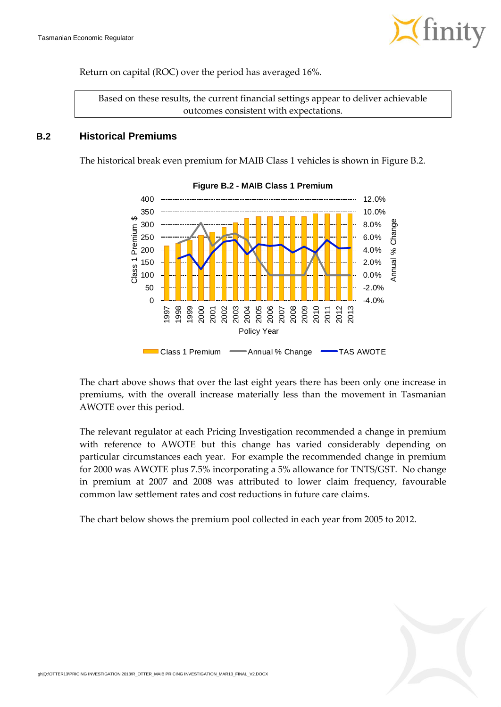

Return on capital (ROC) over the period has averaged 16%.

Based on these results, the current financial settings appear to deliver achievable outcomes consistent with expectations.

#### <span id="page-39-0"></span>**B.2 Historical Premiums**

The historical break even premium for MAIB Class 1 vehicles is shown i[n Figure](#page-39-0) B.2.



#### **Figure B.2 - MAIB Class 1 Premium**

The chart above shows that over the last eight years there has been only one increase in premiums, with the overall increase materially less than the movement in Tasmanian AWOTE over this period.

The relevant regulator at each Pricing Investigation recommended a change in premium with reference to AWOTE but this change has varied considerably depending on particular circumstances each year. For example the recommended change in premium for 2000 was AWOTE plus 7.5% incorporating a 5% allowance for TNTS/GST. No change in premium at 2007 and 2008 was attributed to lower claim frequency, favourable common law settlement rates and cost reductions in future care claims.

The chart below shows the premium pool collected in each year from 2005 to 2012.

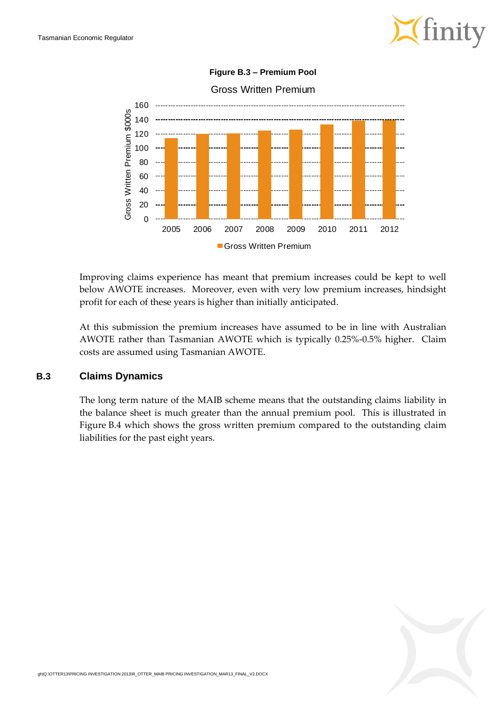



**Figure B.3 – Premium Pool**

Improving claims experience has meant that premium increases could be kept to well below AWOTE increases. Moreover, even with very low premium increases, hindsight profit for each of these years is higher than initially anticipated.

At this submission the premium increases have assumed to be in line with Australian AWOTE rather than Tasmanian AWOTE which is typically 0.25%-0.5% higher. Claim costs are assumed using Tasmanian AWOTE.

#### **B.3 Claims Dynamics**

The long term nature of the MAIB scheme means that the outstanding claims liability in the balance sheet is much greater than the annual premium pool. This is illustrated in [Figure](#page-41-0) B.4 which shows the gross written premium compared to the outstanding claim liabilities for the past eight years.

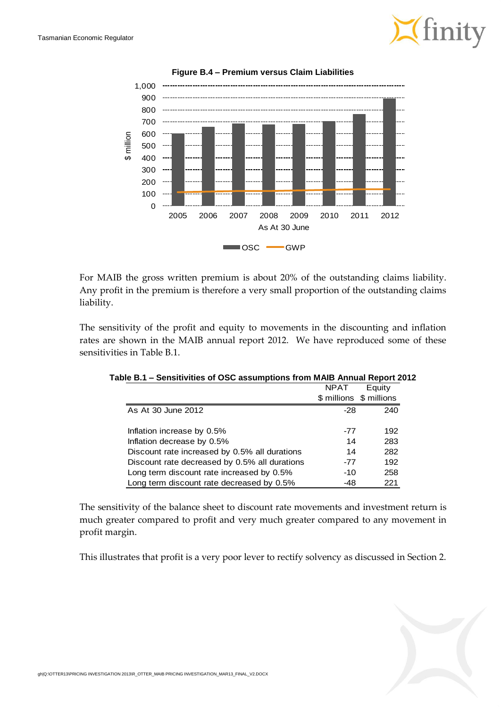

<span id="page-41-0"></span>

**Figure B.4 – Premium versus Claim Liabilities**

For MAIB the gross written premium is about 20% of the outstanding claims liability. Any profit in the premium is therefore a very small proportion of the outstanding claims liability.

<span id="page-41-1"></span>The sensitivity of the profit and equity to movements in the discounting and inflation rates are shown in the MAIB annual report 2012. We have reproduced some of these sensitivities in [Table](#page-41-1) B.1.

|                                               | <b>NPAT</b>             | Equity |
|-----------------------------------------------|-------------------------|--------|
|                                               | \$ millions \$ millions |        |
| As At 30 June 2012                            | $-28$                   | 240    |
|                                               |                         |        |
| Inflation increase by 0.5%                    | -77                     | 192    |
| Inflation decrease by 0.5%                    | 14                      | 283    |
| Discount rate increased by 0.5% all durations | 14                      | 282    |
| Discount rate decreased by 0.5% all durations | $-77$                   | 192    |
| Long term discount rate increased by 0.5%     | $-10$                   | 258    |
| Long term discount rate decreased by 0.5%     | -48                     | 221    |

| Table B.1 – Sensitivities of OSC assumptions from MAIB Annual Report 2012 |
|---------------------------------------------------------------------------|
|---------------------------------------------------------------------------|

The sensitivity of the balance sheet to discount rate movements and investment return is much greater compared to profit and very much greater compared to any movement in profit margin.

This illustrates that profit is a very poor lever to rectify solvency as discussed in Section [2.](#page-10-1)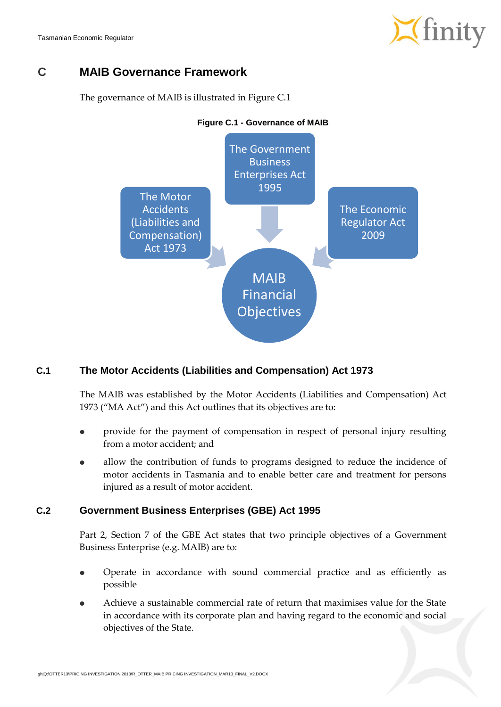Tasmanian Economic Regulator



### **C MAIB Governance Framework**

<span id="page-42-0"></span>The governance of MAIB is illustrated in [Figure](#page-42-0) C.1



### **C.1 The Motor Accidents (Liabilities and Compensation) Act 1973**

The MAIB was established by the Motor Accidents (Liabilities and Compensation) Act 1973 ("MA Act") and this Act outlines that its objectives are to:

- provide for the payment of compensation in respect of personal injury resulting from a motor accident; and
- allow the contribution of funds to programs designed to reduce the incidence of motor accidents in Tasmania and to enable better care and treatment for persons injured as a result of motor accident.

#### **C.2 Government Business Enterprises (GBE) Act 1995**

Part 2, Section 7 of the GBE Act states that two principle objectives of a Government Business Enterprise (e.g. MAIB) are to:

- Operate in accordance with sound commercial practice and as efficiently as possible
- Achieve a sustainable commercial rate of return that maximises value for the State in accordance with its corporate plan and having regard to the economic and social objectives of the State.